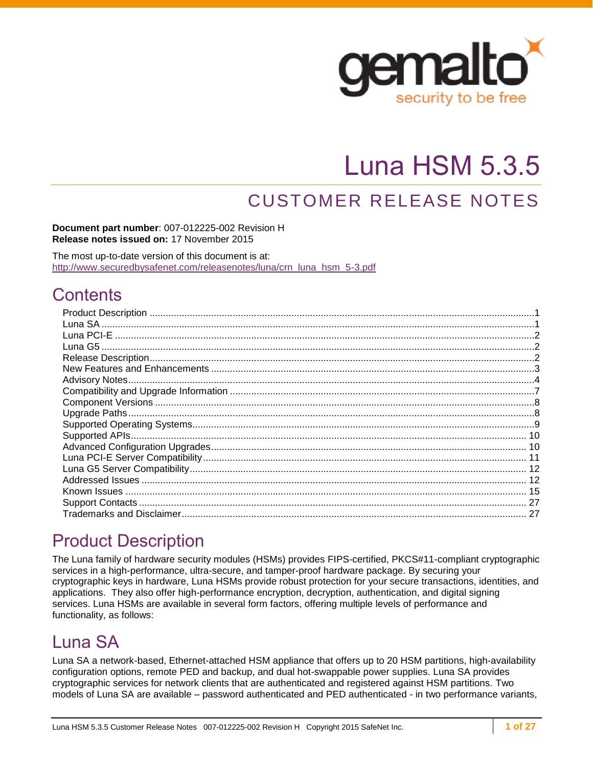

# Luna HSM 5.3.5

## CUSTOMER RELEASE NOTES

**Document part number**: 007-012225-002 Revision H **Release notes issued on:** 17 November 2015

The most up-to-date version of this document is at: [http://www.securedbysafenet.com/releasenotes/luna/crn\\_luna\\_hsm\\_5-3.pdf](http://www.securedbysafenet.com/releasenotes/luna/crn_luna_hsm_5-3.pdf)

## **Contents**

## <span id="page-0-0"></span>Product Description

The Luna family of hardware security modules (HSMs) provides FIPS-certified, PKCS#11-compliant cryptographic services in a high-performance, ultra-secure, and tamper-proof hardware package. By securing your cryptographic keys in hardware, Luna HSMs provide robust protection for your secure transactions, identities, and applications. They also offer high-performance encryption, decryption, authentication, and digital signing services. Luna HSMs are available in several form factors, offering multiple levels of performance and functionality, as follows:

## <span id="page-0-1"></span>Luna SA

Luna SA a network-based, Ethernet-attached HSM appliance that offers up to 20 HSM partitions, high-availability configuration options, remote PED and backup, and dual hot-swappable power supplies. Luna SA provides cryptographic services for network clients that are authenticated and registered against HSM partitions. Two models of Luna SA are available – password authenticated and PED authenticated - in two performance variants,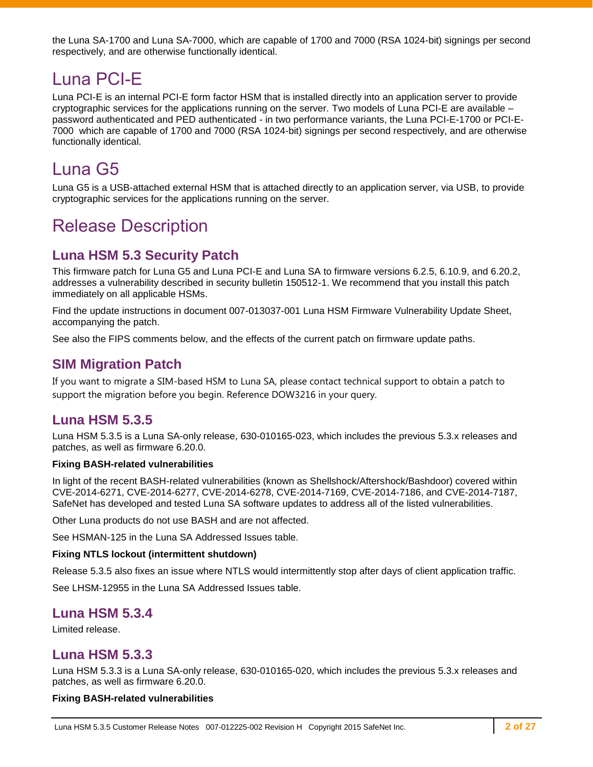the Luna SA-1700 and Luna SA-7000, which are capable of 1700 and 7000 (RSA 1024-bit) signings per second respectively, and are otherwise functionally identical.

## <span id="page-1-0"></span>Luna PCI-E

Luna PCI-E is an internal PCI-E form factor HSM that is installed directly into an application server to provide cryptographic services for the applications running on the server. Two models of Luna PCI-E are available – password authenticated and PED authenticated - in two performance variants, the Luna PCI-E-1700 or PCI-E-7000 which are capable of 1700 and 7000 (RSA 1024-bit) signings per second respectively, and are otherwise functionally identical.

## <span id="page-1-1"></span>Luna G5

Luna G5 is a USB-attached external HSM that is attached directly to an application server, via USB, to provide cryptographic services for the applications running on the server.

## <span id="page-1-2"></span>Release Description

## **Luna HSM 5.3 Security Patch**

This firmware patch for Luna G5 and Luna PCI-E and Luna SA to firmware versions 6.2.5, 6.10.9, and 6.20.2, addresses a vulnerability described in security bulletin 150512-1. We recommend that you install this patch immediately on all applicable HSMs.

Find the update instructions in document 007-013037-001 Luna HSM Firmware Vulnerability Update Sheet, accompanying the patch.

See also the FIPS comments below, and the effects of the current patch on firmware update paths.

### **SIM Migration Patch**

If you want to migrate a SIM-based HSM to Luna SA, please contact technical support to obtain a patch to support the migration before you begin. Reference DOW3216 in your query.

### **Luna HSM 5.3.5**

Luna HSM 5.3.5 is a Luna SA-only release, 630-010165-023, which includes the previous 5.3.x releases and patches, as well as firmware 6.20.0.

#### **Fixing BASH-related vulnerabilities**

In light of the recent BASH-related vulnerabilities (known as Shellshock/Aftershock/Bashdoor) covered within CVE-2014-6271, CVE-2014-6277, CVE-2014-6278, CVE-2014-7169, CVE-2014-7186, and CVE-2014-7187, SafeNet has developed and tested Luna SA software updates to address all of the listed vulnerabilities.

Other Luna products do not use BASH and are not affected.

See HSMAN-125 in the Luna SA Addressed Issues table.

#### **Fixing NTLS lockout (intermittent shutdown)**

Release 5.3.5 also fixes an issue where NTLS would intermittently stop after days of client application traffic.

See LHSM-12955 in the Luna SA Addressed Issues table.

### **Luna HSM 5.3.4**

Limited release.

#### **Luna HSM 5.3.3**

Luna HSM 5.3.3 is a Luna SA-only release, 630-010165-020, which includes the previous 5.3.x releases and patches, as well as firmware 6.20.0.

#### **Fixing BASH-related vulnerabilities**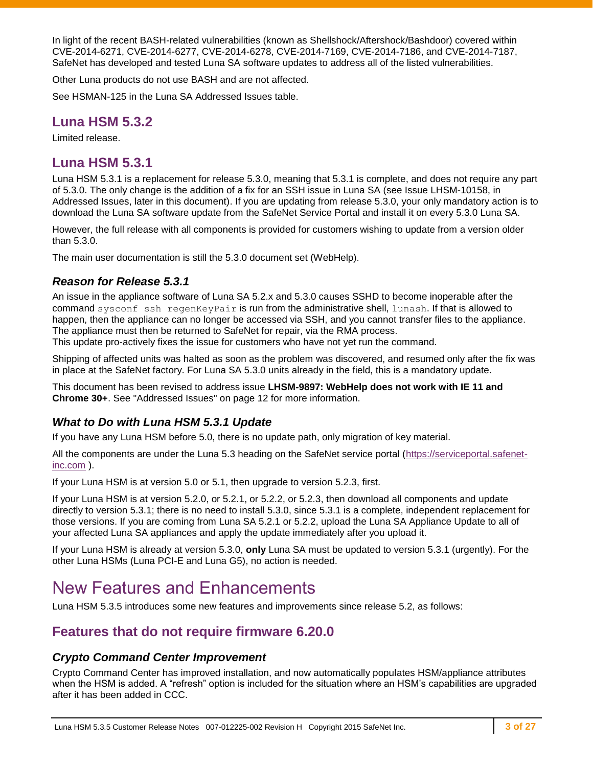In light of the recent BASH-related vulnerabilities (known as Shellshock/Aftershock/Bashdoor) covered within CVE-2014-6271, CVE-2014-6277, CVE-2014-6278, CVE-2014-7169, CVE-2014-7186, and CVE-2014-7187, SafeNet has developed and tested Luna SA software updates to address all of the listed vulnerabilities.

Other Luna products do not use BASH and are not affected.

See HSMAN-125 in the Luna SA Addressed Issues table.

### **Luna HSM 5.3.2**

Limited release.

### **Luna HSM 5.3.1**

Luna HSM 5.3.1 is a replacement for release 5.3.0, meaning that 5.3.1 is complete, and does not require any part of 5.3.0. The only change is the addition of a fix for an SSH issue in Luna SA (see Issue LHSM-10158, in Addressed Issues, later in this document). If you are updating from release 5.3.0, your only mandatory action is to download the Luna SA software update from the SafeNet Service Portal and install it on every 5.3.0 Luna SA.

However, the full release with all components is provided for customers wishing to update from a version older than 5.3.0.

The main user documentation is still the 5.3.0 document set (WebHelp).

#### *Reason for Release 5.3.1*

An issue in the appliance software of Luna SA 5.2.x and 5.3.0 causes SSHD to become inoperable after the command sysconf ssh regenKeyPair is run from the administrative shell, lunash. If that is allowed to happen, then the appliance can no longer be accessed via SSH, and you cannot transfer files to the appliance. The appliance must then be returned to SafeNet for repair, via the RMA process.

This update pro-actively fixes the issue for customers who have not yet run the command.

Shipping of affected units was halted as soon as the problem was discovered, and resumed only after the fix was in place at the SafeNet factory. For Luna SA 5.3.0 units already in the field, this is a mandatory update.

This document has been revised to address issue **LHSM-9897: WebHelp does not work with IE 11 and Chrome 30+**. See ["Addressed Issues"](#page-11-1) on page [12](#page-11-1) for more information.

#### *What to Do with Luna HSM 5.3.1 Update*

If you have any Luna HSM before 5.0, there is no update path, only migration of key material.

All the components are under the Luna 5.3 heading on the SafeNet service portal [\(https://serviceportal.safenet](https://serviceportal.safenet-inc.com/)[inc.com](https://serviceportal.safenet-inc.com/) ).

If your Luna HSM is at version 5.0 or 5.1, then upgrade to version 5.2.3, first.

If your Luna HSM is at version 5.2.0, or 5.2.1, or 5.2.2, or 5.2.3, then download all components and update directly to version 5.3.1; there is no need to install 5.3.0, since 5.3.1 is a complete, independent replacement for those versions. If you are coming from Luna SA 5.2.1 or 5.2.2, upload the Luna SA Appliance Update to all of your affected Luna SA appliances and apply the update immediately after you upload it.

If your Luna HSM is already at version 5.3.0, **only** Luna SA must be updated to version 5.3.1 (urgently). For the other Luna HSMs (Luna PCI-E and Luna G5), no action is needed.

## <span id="page-2-0"></span>New Features and Enhancements

Luna HSM 5.3.5 introduces some new features and improvements since release 5.2, as follows:

### **Features that do not require firmware 6.20.0**

#### *Crypto Command Center Improvement*

Crypto Command Center has improved installation, and now automatically populates HSM/appliance attributes when the HSM is added. A "refresh" option is included for the situation where an HSM's capabilities are upgraded after it has been added in CCC.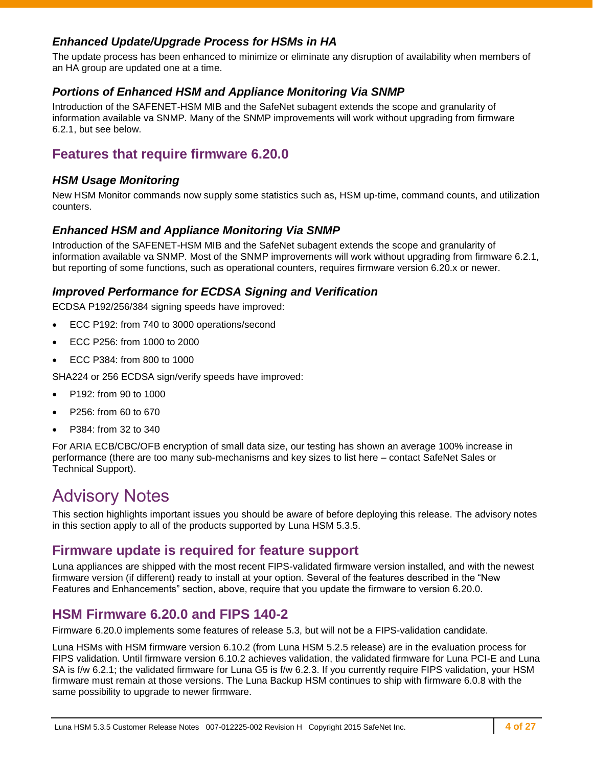#### *Enhanced Update/Upgrade Process for HSMs in HA*

The update process has been enhanced to minimize or eliminate any disruption of availability when members of an HA group are updated one at a time.

#### *Portions of Enhanced HSM and Appliance Monitoring Via SNMP*

Introduction of the SAFENET-HSM MIB and the SafeNet subagent extends the scope and granularity of information available va SNMP. Many of the SNMP improvements will work without upgrading from firmware 6.2.1, but see below.

### **Features that require firmware 6.20.0**

#### *HSM Usage Monitoring*

New HSM Monitor commands now supply some statistics such as, HSM up-time, command counts, and utilization counters.

#### *Enhanced HSM and Appliance Monitoring Via SNMP*

Introduction of the SAFENET-HSM MIB and the SafeNet subagent extends the scope and granularity of information available va SNMP. Most of the SNMP improvements will work without upgrading from firmware 6.2.1, but reporting of some functions, such as operational counters, requires firmware version 6.20.x or newer.

#### *Improved Performance for ECDSA Signing and Verification*

ECDSA P192/256/384 signing speeds have improved:

- ECC P192: from 740 to 3000 operations/second
- ECC P256: from 1000 to 2000
- ECC P384: from 800 to 1000

SHA224 or 256 ECDSA sign/verify speeds have improved:

- P192: from 90 to 1000
- P256: from 60 to 670
- P384: from 32 to 340

For ARIA ECB/CBC/OFB encryption of small data size, our testing has shown an average 100% increase in performance (there are too many sub-mechanisms and key sizes to list here – contact SafeNet Sales or Technical Support).

## <span id="page-3-0"></span>Advisory Notes

This section highlights important issues you should be aware of before deploying this release. The advisory notes in this section apply to all of the products supported by Luna HSM 5.3.5.

#### **Firmware update is required for feature support**

Luna appliances are shipped with the most recent FIPS-validated firmware version installed, and with the newest firmware version (if different) ready to install at your option. Several of the features described in the "New Features and Enhancements" section, above, require that you update the firmware to version 6.20.0.

### **HSM Firmware 6.20.0 and FIPS 140-2**

Firmware 6.20.0 implements some features of release 5.3, but will not be a FIPS-validation candidate.

Luna HSMs with HSM firmware version 6.10.2 (from Luna HSM 5.2.5 release) are in the evaluation process for FIPS validation. Until firmware version 6.10.2 achieves validation, the validated firmware for Luna PCI-E and Luna SA is f/w 6.2.1; the validated firmware for Luna G5 is f/w 6.2.3. If you currently require FIPS validation, your HSM firmware must remain at those versions. The Luna Backup HSM continues to ship with firmware 6.0.8 with the same possibility to upgrade to newer firmware.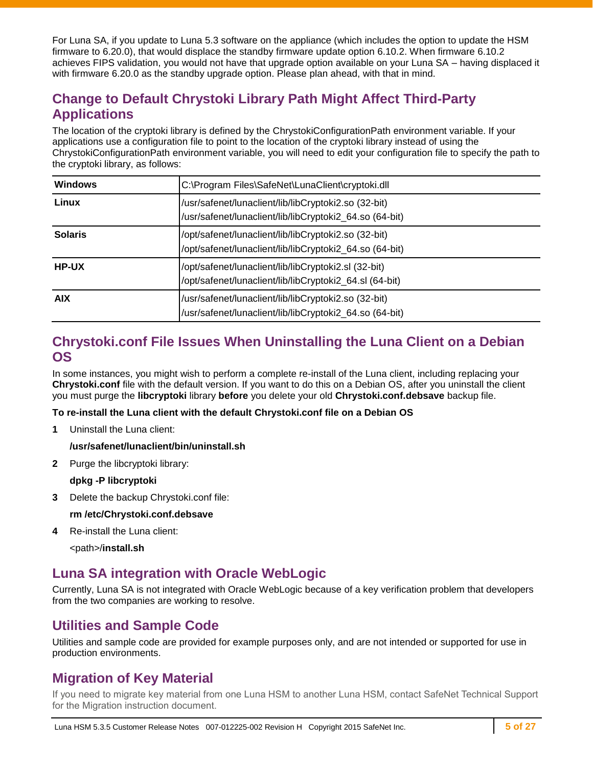For Luna SA, if you update to Luna 5.3 software on the appliance (which includes the option to update the HSM firmware to 6.20.0), that would displace the standby firmware update option 6.10.2. When firmware 6.10.2 achieves FIPS validation, you would not have that upgrade option available on your Luna SA – having displaced it with firmware 6.20.0 as the standby upgrade option. Please plan ahead, with that in mind.

## **Change to Default Chrystoki Library Path Might Affect Third-Party Applications**

The location of the cryptoki library is defined by the ChrystokiConfigurationPath environment variable. If your applications use a configuration file to point to the location of the cryptoki library instead of using the ChrystokiConfigurationPath environment variable, you will need to edit your configuration file to specify the path to the cryptoki library, as follows:

| <b>Windows</b> | C:\Program Files\SafeNet\LunaClient\cryptoki.dll                                                                |
|----------------|-----------------------------------------------------------------------------------------------------------------|
| Linux          | /usr/safenet/lunaclient/lib/libCryptoki2.so (32-bit)<br>/usr/safenet/lunaclient/lib/libCryptoki2_64.so (64-bit) |
| <b>Solaris</b> | /opt/safenet/lunaclient/lib/libCryptoki2.so (32-bit)<br>/opt/safenet/lunaclient/lib/libCryptoki2_64.so (64-bit) |
| <b>HP-UX</b>   | /opt/safenet/lunaclient/lib/libCryptoki2.sl (32-bit)<br>/opt/safenet/lunaclient/lib/libCryptoki2_64.sl (64-bit) |
| <b>AIX</b>     | /usr/safenet/lunaclient/lib/libCryptoki2.so (32-bit)<br>/usr/safenet/lunaclient/lib/libCryptoki2_64.so (64-bit) |

### **Chrystoki.conf File Issues When Uninstalling the Luna Client on a Debian OS**

In some instances, you might wish to perform a complete re-install of the Luna client, including replacing your **Chrystoki.conf** file with the default version. If you want to do this on a Debian OS, after you uninstall the client you must purge the **libcryptoki** library **before** you delete your old **Chrystoki.conf.debsave** backup file.

#### **To re-install the Luna client with the default Chrystoki.conf file on a Debian OS**

**1** Uninstall the Luna client:

#### **/usr/safenet/lunaclient/bin/uninstall.sh**

**2** Purge the libcryptoki library:

#### **dpkg -P libcryptoki**

**3** Delete the backup Chrystoki.conf file:

#### **rm /etc/Chrystoki.conf.debsave**

**4** Re-install the Luna client:

<path>/**install.sh**

#### **Luna SA integration with Oracle WebLogic**

Currently, Luna SA is not integrated with Oracle WebLogic because of a key verification problem that developers from the two companies are working to resolve.

#### **Utilities and Sample Code**

Utilities and sample code are provided for example purposes only, and are not intended or supported for use in production environments.

### **Migration of Key Material**

If you need to migrate key material from one Luna HSM to another Luna HSM, contact SafeNet Technical Support for the Migration instruction document.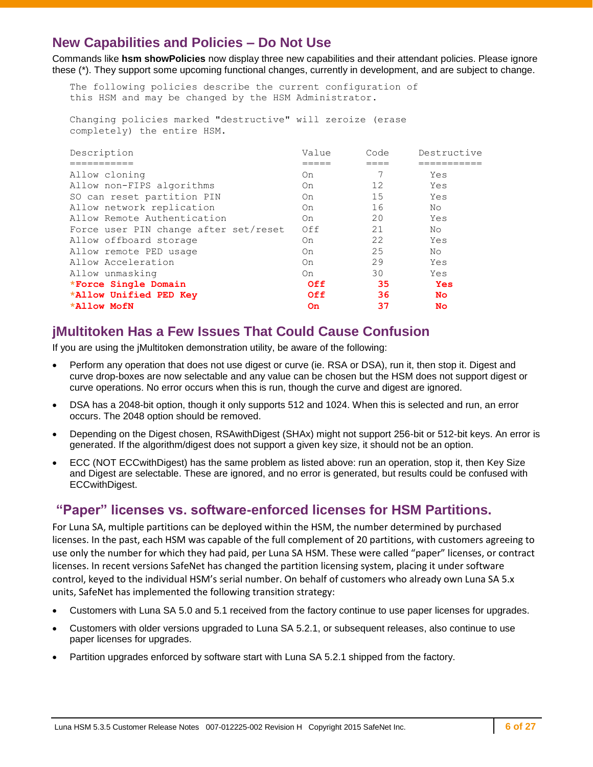### **New Capabilities and Policies – Do Not Use**

Commands like **hsm showPolicies** now display three new capabilities and their attendant policies. Please ignore these (\*). They support some upcoming functional changes, currently in development, and are subject to change.

 The following policies describe the current configuration of this HSM and may be changed by the HSM Administrator.

 Changing policies marked "destructive" will zeroize (erase completely) the entire HSM.

| Description                           | Value | Code | Destructive |
|---------------------------------------|-------|------|-------------|
|                                       |       |      |             |
| Allow cloning                         | On    |      | Yes         |
| Allow non-FIPS algorithms             | On    | 12   | Yes         |
| SO can reset partition PIN            | On    | 15   | Yes         |
| Allow network replication             | On    | 16   | No          |
| Allow Remote Authentication           | On    | 20   | Yes         |
| Force user PIN change after set/reset | Off   | 21   | No          |
| Allow offboard storage                | 0n    | 22   | Yes         |
| Allow remote PED usage                | On    | 25   | No          |
| Allow Acceleration                    | 0n    | 29   | Yes         |
| Allow unmasking                       | On    | 30   | Yes         |
| *Force Single Domain                  | 0ff   | 35   | Yes         |
| *Allow Unified PED Key                | 0ff   | 36   | No.         |
| *Allow MofN                           | On    | 37   | No          |
|                                       |       |      |             |

### **jMultitoken Has a Few Issues That Could Cause Confusion**

If you are using the jMultitoken demonstration utility, be aware of the following:

- Perform any operation that does not use digest or curve (ie. RSA or DSA), run it, then stop it. Digest and curve drop-boxes are now selectable and any value can be chosen but the HSM does not support digest or curve operations. No error occurs when this is run, though the curve and digest are ignored.
- DSA has a 2048-bit option, though it only supports 512 and 1024. When this is selected and run, an error occurs. The 2048 option should be removed.
- Depending on the Digest chosen, RSAwithDigest (SHAx) might not support 256-bit or 512-bit keys. An error is generated. If the algorithm/digest does not support a given key size, it should not be an option.
- ECC (NOT ECCwithDigest) has the same problem as listed above: run an operation, stop it, then Key Size and Digest are selectable. These are ignored, and no error is generated, but results could be confused with ECCwithDigest.

#### **"Paper" licenses vs. software-enforced licenses for HSM Partitions.**

For Luna SA, multiple partitions can be deployed within the HSM, the number determined by purchased licenses. In the past, each HSM was capable of the full complement of 20 partitions, with customers agreeing to use only the number for which they had paid, per Luna SA HSM. These were called "paper" licenses, or contract licenses. In recent versions SafeNet has changed the partition licensing system, placing it under software control, keyed to the individual HSM's serial number. On behalf of customers who already own Luna SA 5.x units, SafeNet has implemented the following transition strategy:

- Customers with Luna SA 5.0 and 5.1 received from the factory continue to use paper licenses for upgrades.
- Customers with older versions upgraded to Luna SA 5.2.1, or subsequent releases, also continue to use paper licenses for upgrades.
- Partition upgrades enforced by software start with Luna SA 5.2.1 shipped from the factory.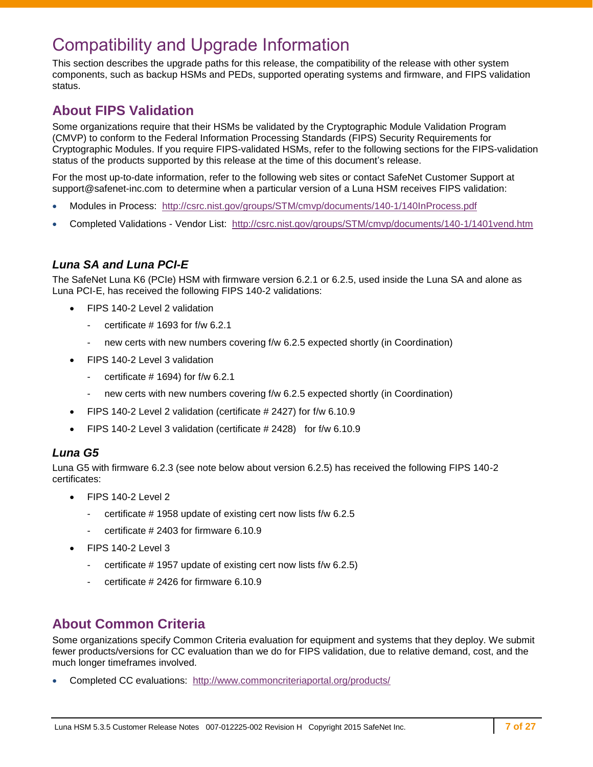## <span id="page-6-0"></span>Compatibility and Upgrade Information

This section describes the upgrade paths for this release, the compatibility of the release with other system components, such as backup HSMs and PEDs, supported operating systems and firmware, and FIPS validation status.

### **About FIPS Validation**

Some organizations require that their HSMs be validated by the Cryptographic Module Validation Program (CMVP) to conform to the Federal Information Processing Standards (FIPS) Security Requirements for Cryptographic Modules. If you require FIPS-validated HSMs, refer to the following sections for the FIPS-validation status of the products supported by this release at the time of this document's release.

For the most up-to-date information, refer to the following web sites or contact SafeNet Customer Support at [support@safenet-inc.com](mailto:support@safenet-inc.com) to determine when a particular version of a Luna HSM receives FIPS validation:

- Modules in Process: <http://csrc.nist.gov/groups/STM/cmvp/documents/140-1/140InProcess.pdf>
- Completed Validations Vendor List: <http://csrc.nist.gov/groups/STM/cmvp/documents/140-1/1401vend.htm>

#### *Luna SA and Luna PCI-E*

The SafeNet Luna K6 (PCIe) HSM with firmware version 6.2.1 or 6.2.5, used inside the Luna SA and alone as Luna PCI-E, has received the following FIPS 140-2 validations:

- FIPS 140-2 Level 2 validation
	- certificate  $#$  1693 for f/w 6.2.1
	- new certs with new numbers covering f/w 6.2.5 expected shortly (in Coordination)
- FIPS 140-2 Level 3 validation
	- certificate  $# 1694$  for  $f/w 6.2.1$
	- new certs with new numbers covering f/w 6.2.5 expected shortly (in Coordination)
- FIPS 140-2 Level 2 validation (certificate # 2427) for f/w 6.10.9
- FIPS 140-2 Level 3 validation (certificate # 2428) for f/w 6.10.9

#### *Luna G5*

Luna G5 with firmware 6.2.3 (see note below about version 6.2.5) has received the following FIPS 140-2 certificates:

- FIPS 140-2 Level 2
	- certificate # 1958 update of existing cert now lists f/w 6.2.5
	- certificate # 2403 for firmware 6.10.9
- FIPS 140-2 Level 3
	- certificate # 1957 update of existing cert now lists f/w 6.2.5)
	- certificate # 2426 for firmware 6.10.9

### **About Common Criteria**

Some organizations specify Common Criteria evaluation for equipment and systems that they deploy. We submit fewer products/versions for CC evaluation than we do for FIPS validation, due to relative demand, cost, and the much longer timeframes involved.

Completed CC evaluations: <http://www.commoncriteriaportal.org/products/>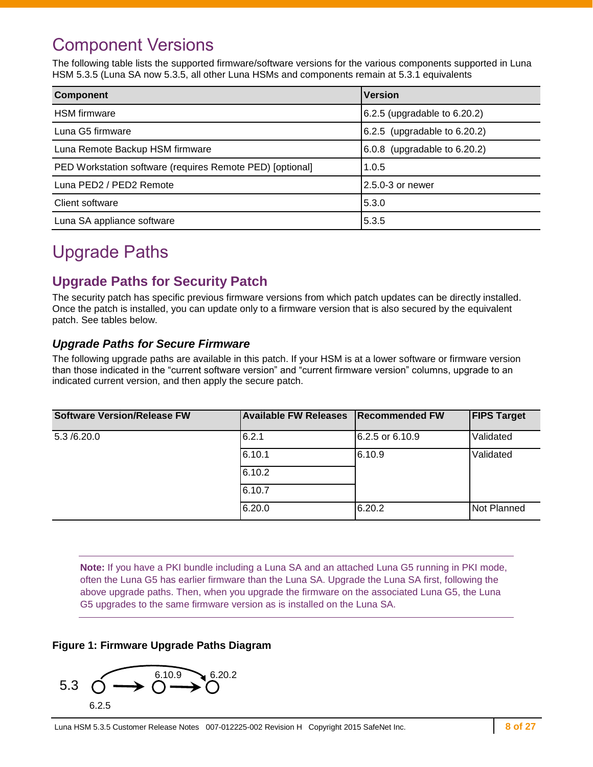## <span id="page-7-0"></span>Component Versions

The following table lists the supported firmware/software versions for the various components supported in Luna HSM 5.3.5 (Luna SA now 5.3.5, all other Luna HSMs and components remain at 5.3.1 equivalents

| <b>Component</b>                                          | Version                           |
|-----------------------------------------------------------|-----------------------------------|
| <b>HSM</b> firmware                                       | $6.2.5$ (upgradable to 6.20.2)    |
| Luna G5 firmware                                          | $6.2.5$ (upgradable to 6.20.2)    |
| Luna Remote Backup HSM firmware                           | $6.0.8$ (upgradable to $6.20.2$ ) |
| PED Workstation software (requires Remote PED) [optional] | 1.0.5                             |
| Luna PED2 / PED2 Remote                                   | 2.5.0-3 or newer                  |
| Client software                                           | 5.3.0                             |
| Luna SA appliance software                                | 5.3.5                             |

## <span id="page-7-1"></span>Upgrade Paths

## **Upgrade Paths for Security Patch**

The security patch has specific previous firmware versions from which patch updates can be directly installed. Once the patch is installed, you can update only to a firmware version that is also secured by the equivalent patch. See tables below.

#### *Upgrade Paths for Secure Firmware*

The following upgrade paths are available in this patch. If your HSM is at a lower software or firmware version than those indicated in the "current software version" and "current firmware version" columns, upgrade to an indicated current version, and then apply the secure patch.

| <b>Software Version/Release FW</b> | <b>Available FW Releases</b> | <b>Recommended FW</b> | <b>FIPS Target</b> |
|------------------------------------|------------------------------|-----------------------|--------------------|
| 5.3/6.20.0                         | 6.2.1                        | 6.2.5 or 6.10.9       | Validated          |
|                                    | 6.10.1                       | 6.10.9                | Validated          |
|                                    | 6.10.2                       |                       |                    |
|                                    | 6.10.7                       |                       |                    |
|                                    | 6.20.0                       | 6.20.2                | Not Planned        |

**Note:** If you have a PKI bundle including a Luna SA and an attached Luna G5 running in PKI mode, often the Luna G5 has earlier firmware than the Luna SA. Upgrade the Luna SA first, following the above upgrade paths. Then, when you upgrade the firmware on the associated Luna G5, the Luna G5 upgrades to the same firmware version as is installed on the Luna SA.

#### **Figure 1: Firmware Upgrade Paths Diagram**

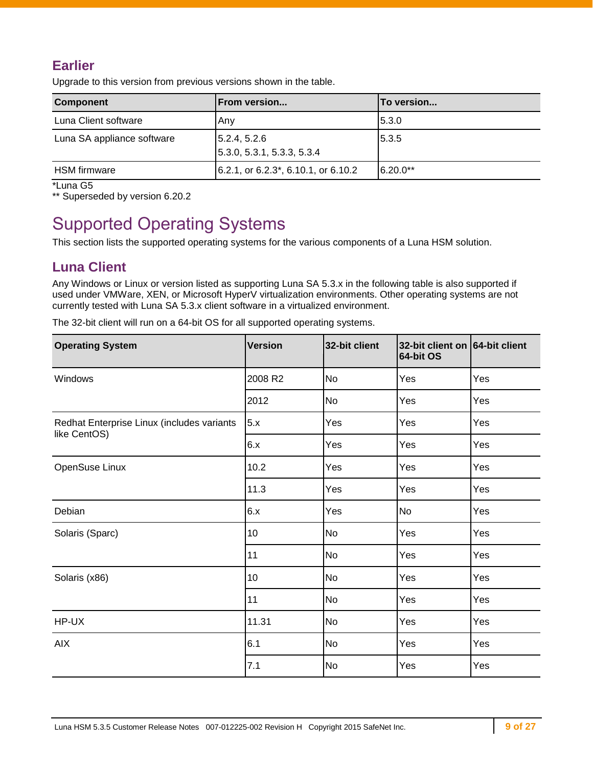## **Earlier**

Upgrade to this version from previous versions shown in the table.

| <b>Component</b>           | <b>From version</b>                                      | <b>To version</b> |
|----------------------------|----------------------------------------------------------|-------------------|
| Luna Client software       | Anv                                                      | 5.3.0             |
| Luna SA appliance software | 5.2.4, 5.2.6<br>$\vert 5.3.0, 5.3.1, 5.3.3, 5.3.4 \vert$ | 5.3.5             |
| <b>HSM</b> firmware        | $6.2.1$ , or 6.2.3 <sup>*</sup> , 6.10.1, or 6.10.2      | 6.20.0**          |

\*Luna G5

\*\* Superseded by version 6.20.2

## <span id="page-8-0"></span>Supported Operating Systems

This section lists the supported operating systems for the various components of a Luna HSM solution.

## **Luna Client**

Any Windows or Linux or version listed as supporting Luna SA 5.3.x in the following table is also supported if used under VMWare, XEN, or Microsoft HyperV virtualization environments. Other operating systems are not currently tested with Luna SA 5.3.x client software in a virtualized environment.

The 32-bit client will run on a 64-bit OS for all supported operating systems.

| <b>Operating System</b>                    | <b>Version</b> | 32-bit client | 32-bit client on 64-bit client<br>64-bit OS |     |
|--------------------------------------------|----------------|---------------|---------------------------------------------|-----|
| Windows                                    | 2008 R2        | <b>No</b>     | Yes                                         | Yes |
|                                            | 2012           | <b>No</b>     | Yes                                         | Yes |
| Redhat Enterprise Linux (includes variants | 5.x            | Yes           | Yes                                         | Yes |
| like CentOS)                               | 6.x            | Yes           | Yes                                         | Yes |
| OpenSuse Linux                             | 10.2           | Yes           | Yes                                         | Yes |
|                                            | 11.3           | Yes           | Yes                                         | Yes |
| Debian                                     | 6.x            | Yes           | <b>No</b>                                   | Yes |
| Solaris (Sparc)                            | 10             | No            | Yes                                         | Yes |
|                                            | 11             | No            | Yes                                         | Yes |
| Solaris (x86)                              | 10             | <b>No</b>     | Yes                                         | Yes |
|                                            | 11             | No            | Yes                                         | Yes |
| HP-UX                                      | 11.31          | No            | Yes                                         | Yes |
| <b>AIX</b>                                 | 6.1            | No            | Yes                                         | Yes |
|                                            | 7.1            | <b>No</b>     | Yes                                         | Yes |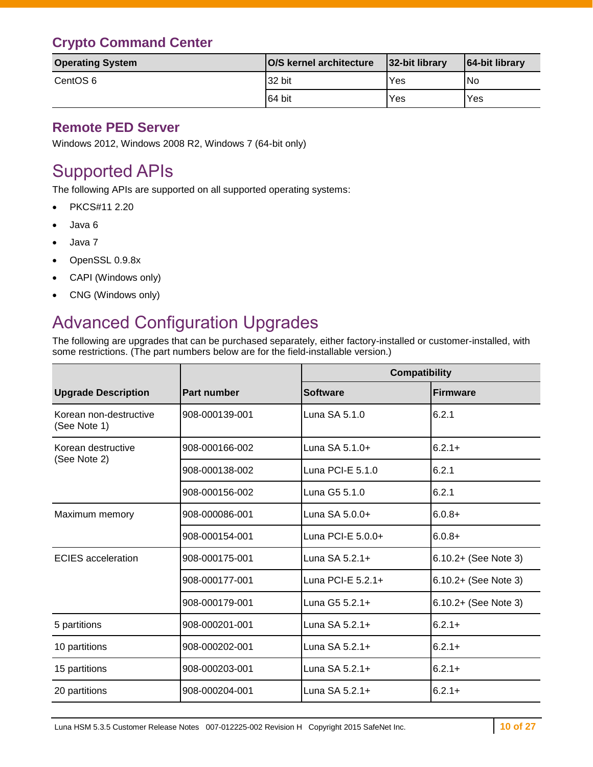## **Crypto Command Center**

| <b>Operating System</b> | O/S kernel architecture | 32-bit library | 64-bit library |
|-------------------------|-------------------------|----------------|----------------|
| CentOS 6                | 32 bit                  | Yes            | No             |
|                         | 64 bit                  | Yes            | <b>Yes</b>     |

### **Remote PED Server**

Windows 2012, Windows 2008 R2, Windows 7 (64-bit only)

## <span id="page-9-0"></span>Supported APIs

The following APIs are supported on all supported operating systems:

- PKCS#11 2.20
- Java 6
- Java 7
- OpenSSL 0.9.8x
- CAPI (Windows only)
- CNG (Windows only)

## <span id="page-9-1"></span>Advanced Configuration Upgrades

The following are upgrades that can be purchased separately, either factory-installed or customer-installed, with some restrictions. (The part numbers below are for the field-installable version.)

|                                        |                | <b>Compatibility</b> |                      |  |
|----------------------------------------|----------------|----------------------|----------------------|--|
| <b>Upgrade Description</b>             | Part number    | <b>Software</b>      | Firmware             |  |
| Korean non-destructive<br>(See Note 1) | 908-000139-001 | Luna SA 5.1.0        | 6.2.1                |  |
| Korean destructive<br>(See Note 2)     | 908-000166-002 | Luna SA 5.1.0+       | $6.2.1+$             |  |
|                                        | 908-000138-002 | Luna PCI-E $5.1.0$   | 6.2.1                |  |
|                                        | 908-000156-002 | Luna G5 5.1.0        | 6.2.1                |  |
| Maximum memory                         | 908-000086-001 | Luna $SA 5.0.0+$     | $6.0.8+$             |  |
|                                        | 908-000154-001 | Luna PCI-E $5.0.0+$  | $6.0.8+$             |  |
| <b>ECIES</b> acceleration              | 908-000175-001 | Luna SA 5.2.1+       | 6.10.2+ (See Note 3) |  |
|                                        | 908-000177-001 | Luna PCI-E 5.2.1+    | 6.10.2+ (See Note 3) |  |
|                                        | 908-000179-001 | Luna G5 5.2.1+       | 6.10.2+ (See Note 3) |  |
| 5 partitions                           | 908-000201-001 | Luna $SA 5.2.1+$     | $6.2.1+$             |  |
| 10 partitions                          | 908-000202-001 | Luna $SA$ 5.2.1+     | $6.2.1+$             |  |
| 15 partitions                          | 908-000203-001 | Luna $SA 5.2.1+$     | $6.2.1+$             |  |
| 20 partitions                          | 908-000204-001 | Luna SA 5.2.1+       | $6.2.1+$             |  |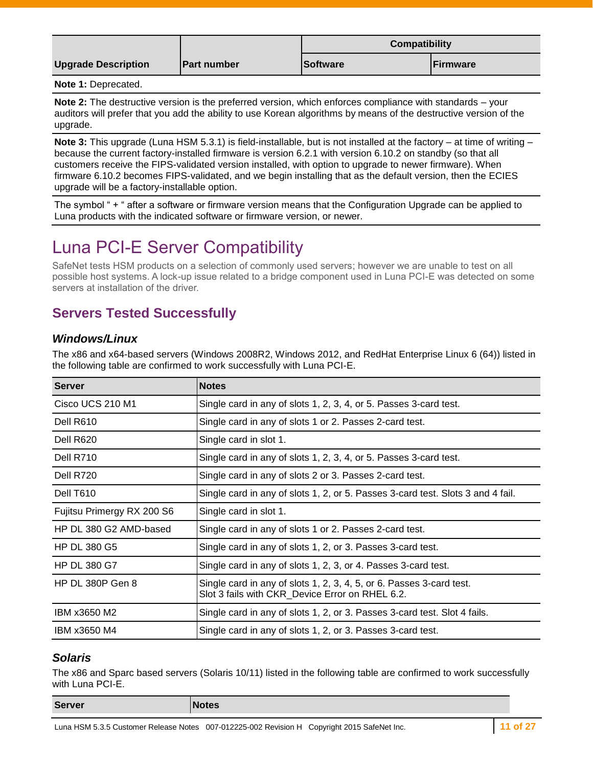|                            |                    | <b>Compatibility</b> |                  |  |
|----------------------------|--------------------|----------------------|------------------|--|
| <b>Upgrade Description</b> | <b>Part number</b> | <b>ISoftware</b>     | <b>IFirmware</b> |  |

#### **Note 1:** Deprecated.

**Note 2:** The destructive version is the preferred version, which enforces compliance with standards – your auditors will prefer that you add the ability to use Korean algorithms by means of the destructive version of the upgrade.

**Note 3:** This upgrade (Luna HSM 5.3.1) is field-installable, but is not installed at the factory – at time of writing – because the current factory-installed firmware is version 6.2.1 with version 6.10.2 on standby (so that all customers receive the FIPS-validated version installed, with option to upgrade to newer firmware). When firmware 6.10.2 becomes FIPS-validated, and we begin installing that as the default version, then the ECIES upgrade will be a factory-installable option.

The symbol " + " after a software or firmware version means that the Configuration Upgrade can be applied to Luna products with the indicated software or firmware version, or newer.

## <span id="page-10-0"></span>Luna PCI-E Server Compatibility

SafeNet tests HSM products on a selection of commonly used servers; however we are unable to test on all possible host systems. A lock-up issue related to a bridge component used in Luna PCI-E was detected on some servers at installation of the driver.

### **Servers Tested Successfully**

#### *Windows/Linux*

The x86 and x64-based servers (Windows 2008R2, Windows 2012, and RedHat Enterprise Linux 6 (64)) listed in the following table are confirmed to work successfully with Luna PCI-E.

| <b>Server</b>              | <b>Notes</b>                                                                                                            |
|----------------------------|-------------------------------------------------------------------------------------------------------------------------|
| Cisco UCS 210 M1           | Single card in any of slots 1, 2, 3, 4, or 5. Passes 3-card test.                                                       |
| Dell R610                  | Single card in any of slots 1 or 2. Passes 2-card test.                                                                 |
| Dell R620                  | Single card in slot 1.                                                                                                  |
| Dell R710                  | Single card in any of slots 1, 2, 3, 4, or 5. Passes 3-card test.                                                       |
| Dell R720                  | Single card in any of slots 2 or 3. Passes 2-card test.                                                                 |
| Dell T610                  | Single card in any of slots 1, 2, or 5. Passes 3-card test. Slots 3 and 4 fail.                                         |
| Fujitsu Primergy RX 200 S6 | Single card in slot 1.                                                                                                  |
| HP DL 380 G2 AMD-based     | Single card in any of slots 1 or 2. Passes 2-card test.                                                                 |
| HP DL 380 G5               | Single card in any of slots 1, 2, or 3. Passes 3-card test.                                                             |
| <b>HP DL 380 G7</b>        | Single card in any of slots 1, 2, 3, or 4. Passes 3-card test.                                                          |
| <b>HP DL 380P Gen 8</b>    | Single card in any of slots 1, 2, 3, 4, 5, or 6. Passes 3-card test.<br>Slot 3 fails with CKR_Device Error on RHEL 6.2. |
| IBM x3650 M2               | Single card in any of slots 1, 2, or 3. Passes 3-card test. Slot 4 fails.                                               |
| IBM x3650 M4               | Single card in any of slots 1, 2, or 3. Passes 3-card test.                                                             |

#### *Solaris*

The x86 and Sparc based servers (Solaris 10/11) listed in the following table are confirmed to work successfully with Luna PCI-E.

| <b>Server</b> | ハヒコ |  |
|---------------|-----|--|
|               |     |  |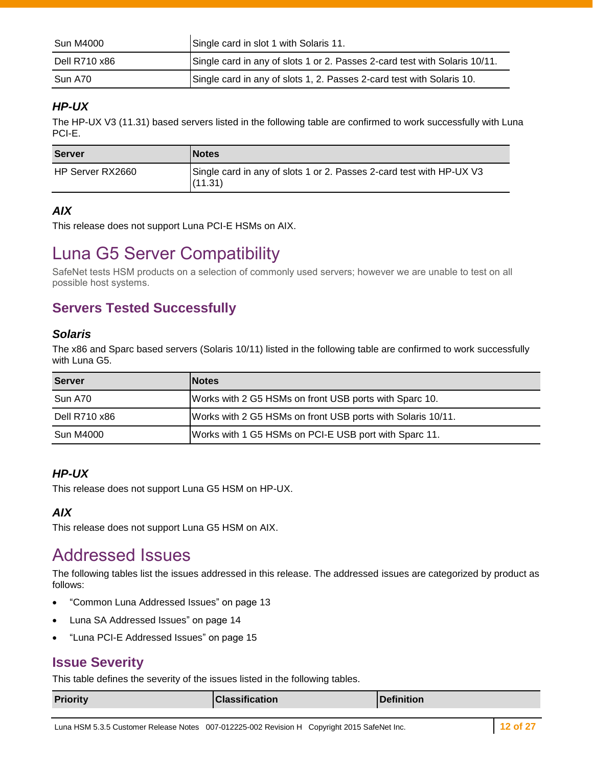| Sun M4000     | Single card in slot 1 with Solaris 11.                                     |
|---------------|----------------------------------------------------------------------------|
| Dell R710 x86 | Single card in any of slots 1 or 2. Passes 2-card test with Solaris 10/11. |
| Sun A70       | Single card in any of slots 1, 2. Passes 2-card test with Solaris 10.      |

#### *HP-UX*

The HP-UX V3 (11.31) based servers listed in the following table are confirmed to work successfully with Luna PCI-E.

| <b>Server</b>    | <b>INotes</b>                                                                    |
|------------------|----------------------------------------------------------------------------------|
| HP Server RX2660 | Single card in any of slots 1 or 2. Passes 2-card test with HP-UX V3<br>1(11.31) |

#### *AIX*

This release does not support Luna PCI-E HSMs on AIX.

## <span id="page-11-0"></span>Luna G5 Server Compatibility

SafeNet tests HSM products on a selection of commonly used servers; however we are unable to test on all possible host systems.

## **Servers Tested Successfully**

#### *Solaris*

The x86 and Sparc based servers (Solaris 10/11) listed in the following table are confirmed to work successfully with Luna G5.

| <b>Server</b>    | <b>INotes</b>                                               |
|------------------|-------------------------------------------------------------|
| Sun A70          | Works with 2 G5 HSMs on front USB ports with Sparc 10.      |
| Dell R710 x86    | Works with 2 G5 HSMs on front USB ports with Solaris 10/11. |
| <b>Sun M4000</b> | Works with 1 G5 HSMs on PCI-E USB port with Sparc 11.       |

### *HP-UX*

This release does not support Luna G5 HSM on HP-UX.

#### *AIX*

This release does not support Luna G5 HSM on AIX.

## <span id="page-11-1"></span>Addressed Issues

The following tables list the issues addressed in this release. The addressed issues are categorized by product as follows:

- ["Common Luna Addressed Issues"](#page-12-0) on page [13](#page-12-0)
- [Luna SA Addressed Issues"](#page-13-0) on page [14](#page-13-1)
- ["Luna PCI-E Addressed Issues"](#page-14-1) on page [15](#page-14-1)

### **Issue Severity**

This table defines the severity of the issues listed in the following tables.

| <b>Priority</b> | <b>Classification</b> | Definition |
|-----------------|-----------------------|------------|
|                 |                       |            |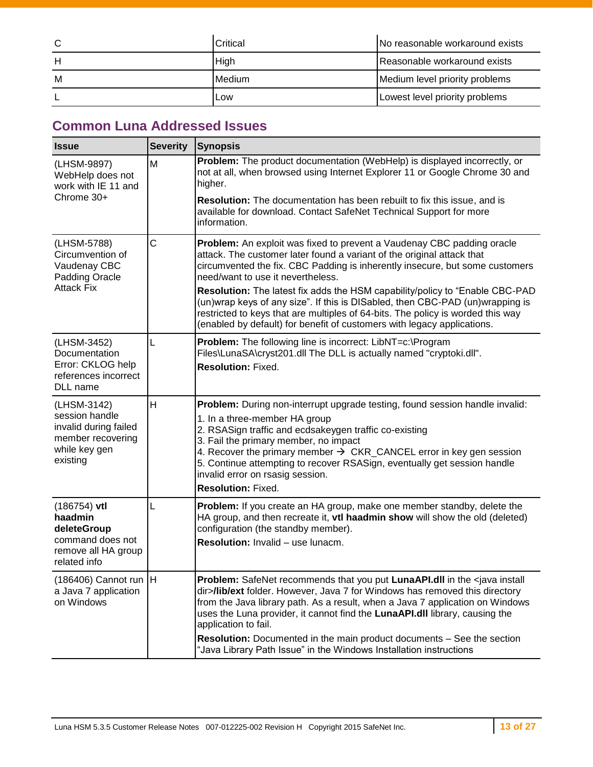|   | Critical | No reasonable workaround exists |
|---|----------|---------------------------------|
|   | High     | Reasonable workaround exists    |
| M | Medium   | Medium level priority problems  |
|   | Low      | Lowest level priority problems  |

## <span id="page-12-0"></span>**Common Luna Addressed Issues**

| <b>Severity</b>        | <b>Synopsis</b>                                                                                                                                                                                                                                                                                                                                                                                                                                                                                                                                                                                      |
|------------------------|------------------------------------------------------------------------------------------------------------------------------------------------------------------------------------------------------------------------------------------------------------------------------------------------------------------------------------------------------------------------------------------------------------------------------------------------------------------------------------------------------------------------------------------------------------------------------------------------------|
| M                      | Problem: The product documentation (WebHelp) is displayed incorrectly, or<br>not at all, when browsed using Internet Explorer 11 or Google Chrome 30 and<br>higher.                                                                                                                                                                                                                                                                                                                                                                                                                                  |
|                        | Resolution: The documentation has been rebuilt to fix this issue, and is<br>available for download. Contact SafeNet Technical Support for more<br>information.                                                                                                                                                                                                                                                                                                                                                                                                                                       |
| C                      | Problem: An exploit was fixed to prevent a Vaudenay CBC padding oracle<br>attack. The customer later found a variant of the original attack that<br>circumvented the fix. CBC Padding is inherently insecure, but some customers<br>need/want to use it nevertheless.<br>Resolution: The latest fix adds the HSM capability/policy to "Enable CBC-PAD<br>(un)wrap keys of any size". If this is DISabled, then CBC-PAD (un)wrapping is<br>restricted to keys that are multiples of 64-bits. The policy is worded this way<br>(enabled by default) for benefit of customers with legacy applications. |
| L                      | <b>Problem:</b> The following line is incorrect: LibNT=c:\Program<br>Files\LunaSA\cryst201.dll The DLL is actually named "cryptoki.dll".<br><b>Resolution: Fixed.</b>                                                                                                                                                                                                                                                                                                                                                                                                                                |
| H                      | Problem: During non-interrupt upgrade testing, found session handle invalid:<br>1. In a three-member HA group<br>2. RSASign traffic and ecdsakeygen traffic co-existing<br>3. Fail the primary member, no impact<br>4. Recover the primary member $\rightarrow$ CKR_CANCEL error in key gen session<br>5. Continue attempting to recover RSASign, eventually get session handle<br>invalid error on rsasig session.<br><b>Resolution: Fixed.</b>                                                                                                                                                     |
| L                      | Problem: If you create an HA group, make one member standby, delete the<br>HA group, and then recreate it, vtl haadmin show will show the old (deleted)<br>configuration (the standby member).<br><b>Resolution:</b> Invalid - use lunacm.                                                                                                                                                                                                                                                                                                                                                           |
| (186406) Cannot run  H | Problem: SafeNet recommends that you put LunaAPI.dll in the <java install<br="">dir&gt;/lib/ext folder. However, Java 7 for Windows has removed this directory<br/>from the Java library path. As a result, when a Java 7 application on Windows<br/>uses the Luna provider, it cannot find the LunaAPI.dll library, causing the<br/>application to fail.<br/><b>Resolution:</b> Documented in the main product documents - See the section<br/>"Java Library Path Issue" in the Windows Installation instructions</java>                                                                            |
|                        |                                                                                                                                                                                                                                                                                                                                                                                                                                                                                                                                                                                                      |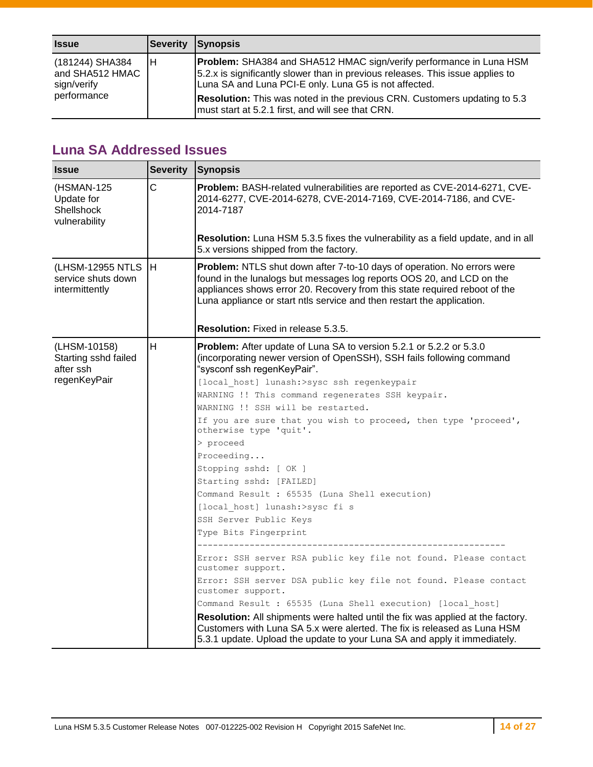| <b>Issue</b>                                                     |    | Severity Synopsis                                                                                                                                                                                                                                                                                                                                               |
|------------------------------------------------------------------|----|-----------------------------------------------------------------------------------------------------------------------------------------------------------------------------------------------------------------------------------------------------------------------------------------------------------------------------------------------------------------|
| (181244) SHA384<br>and SHA512 HMAC<br>sign/verify<br>performance | ΙH | <b>Problem:</b> SHA384 and SHA512 HMAC sign/verify performance in Luna HSM<br>[5.2.x is significantly slower than in previous releases. This issue applies to<br>Luna SA and Luna PCI-E only. Luna G5 is not affected.<br><b>Resolution:</b> This was noted in the previous CRN. Customers updating to 5.3<br>must start at 5.2.1 first, and will see that CRN. |

## <span id="page-13-1"></span><span id="page-13-0"></span>**Luna SA Addressed Issues**

| <b>Issue</b>                                                      | <b>Severity</b> | Synopsis                                                                                                                                                                                                                                                                                                                                                                                                                                                                                                                                                                                                                                                                                                                                                                                                                                                                                                                                                                                                                                                |
|-------------------------------------------------------------------|-----------------|---------------------------------------------------------------------------------------------------------------------------------------------------------------------------------------------------------------------------------------------------------------------------------------------------------------------------------------------------------------------------------------------------------------------------------------------------------------------------------------------------------------------------------------------------------------------------------------------------------------------------------------------------------------------------------------------------------------------------------------------------------------------------------------------------------------------------------------------------------------------------------------------------------------------------------------------------------------------------------------------------------------------------------------------------------|
| (HSMAN-125<br>Update for<br>Shellshock<br>vulnerability           | C               | Problem: BASH-related vulnerabilities are reported as CVE-2014-6271, CVE-<br>2014-6277, CVE-2014-6278, CVE-2014-7169, CVE-2014-7186, and CVE-<br>2014-7187                                                                                                                                                                                                                                                                                                                                                                                                                                                                                                                                                                                                                                                                                                                                                                                                                                                                                              |
|                                                                   |                 | Resolution: Luna HSM 5.3.5 fixes the vulnerability as a field update, and in all<br>5.x versions shipped from the factory.                                                                                                                                                                                                                                                                                                                                                                                                                                                                                                                                                                                                                                                                                                                                                                                                                                                                                                                              |
| (LHSM-12955 NTLS<br>service shuts down<br>intermittently          | Iн              | <b>Problem:</b> NTLS shut down after 7-to-10 days of operation. No errors were<br>found in the lunalogs but messages log reports OOS 20, and LCD on the<br>appliances shows error 20. Recovery from this state required reboot of the<br>Luna appliance or start ntls service and then restart the application.<br><b>Resolution:</b> Fixed in release 5.3.5.                                                                                                                                                                                                                                                                                                                                                                                                                                                                                                                                                                                                                                                                                           |
| (LHSM-10158)<br>Starting sshd failed<br>after ssh<br>regenKeyPair | н               | Problem: After update of Luna SA to version 5.2.1 or 5.2.2 or 5.3.0<br>(incorporating newer version of OpenSSH), SSH fails following command<br>"sysconf ssh regenKeyPair".<br>[local host] lunash:>sysc ssh regenkeypair<br>WARNING !! This command regenerates SSH keypair.<br>WARNING !! SSH will be restarted.<br>If you are sure that you wish to proceed, then type 'proceed',<br>otherwise type 'quit'.<br>> proceed<br>Proceeding<br>Stopping sshd: [ OK ]<br>Starting sshd: [FAILED]<br>Command Result : 65535 (Luna Shell execution)<br>[local host] lunash:>sysc fi s<br>SSH Server Public Keys<br>Type Bits Fingerprint<br>Error: SSH server RSA public key file not found. Please contact<br>customer support.<br>Error: SSH server DSA public key file not found. Please contact<br>customer support.<br>Command Result : 65535 (Luna Shell execution) [local host]<br><b>Resolution:</b> All shipments were halted until the fix was applied at the factory.<br>Customers with Luna SA 5.x were alerted. The fix is released as Luna HSM |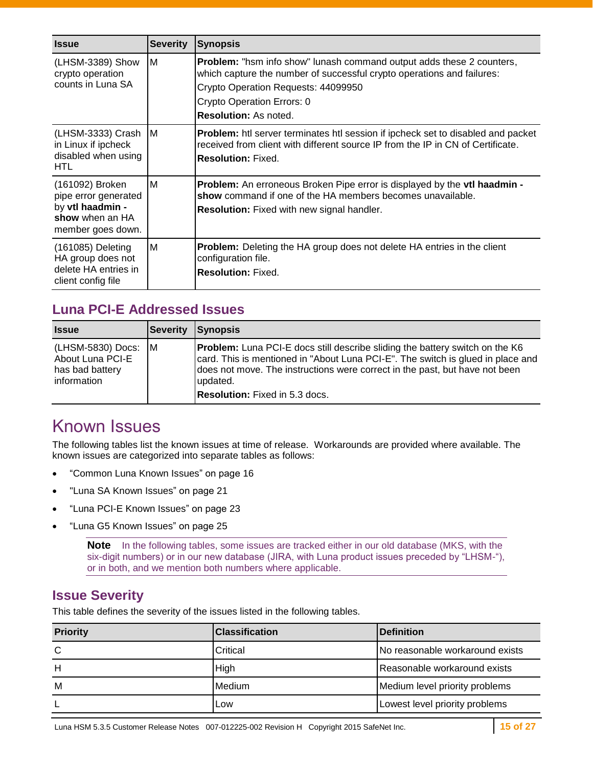| <b>Issue</b>                                                                                        | <b>Severity</b> | <b>Synopsis</b>                                                                                                                                                                                                                                             |
|-----------------------------------------------------------------------------------------------------|-----------------|-------------------------------------------------------------------------------------------------------------------------------------------------------------------------------------------------------------------------------------------------------------|
| (LHSM-3389) Show<br>crypto operation<br>counts in Luna SA                                           | M               | <b>Problem:</b> "hsm info show" lunash command output adds these 2 counters,<br>which capture the number of successful crypto operations and failures:<br>Crypto Operation Requests: 44099950<br>Crypto Operation Errors: 0<br><b>Resolution: As noted.</b> |
| (LHSM-3333) Crash<br>in Linux if ipcheck<br>disabled when using<br><b>HTL</b>                       | IM.             | <b>Problem:</b> htl server terminates htl session if ipcheck set to disabled and packet<br>received from client with different source IP from the IP in CN of Certificate.<br><b>Resolution: Fixed.</b>                                                     |
| (161092) Broken<br>pipe error generated<br>by vtl haadmin -<br>show when an HA<br>member goes down. | M               | <b>Problem:</b> An erroneous Broken Pipe error is displayed by the vtl haadmin -<br>show command if one of the HA members becomes unavailable.<br><b>Resolution:</b> Fixed with new signal handler.                                                         |
| (161085) Deleting<br>HA group does not<br>delete HA entries in<br>client config file                | M               | <b>Problem:</b> Deleting the HA group does not delete HA entries in the client<br>configuration file.<br><b>Resolution: Fixed.</b>                                                                                                                          |

### <span id="page-14-1"></span>**Luna PCI-E Addressed Issues**

| <b>Issue</b>                                                              | <b>Severity</b> | <b>Synopsis</b>                                                                                                                                                                                                                                                   |
|---------------------------------------------------------------------------|-----------------|-------------------------------------------------------------------------------------------------------------------------------------------------------------------------------------------------------------------------------------------------------------------|
| (LHSM-5830) Docs: M<br>About Luna PCI-E<br>has bad battery<br>information |                 | <b>Problem:</b> Luna PCI-E docs still describe sliding the battery switch on the K6<br>card. This is mentioned in "About Luna PCI-E". The switch is glued in place and<br>does not move. The instructions were correct in the past, but have not been<br>updated. |
|                                                                           |                 | <b>Resolution:</b> Fixed in 5.3 docs.                                                                                                                                                                                                                             |

## <span id="page-14-0"></span>Known Issues

The following tables list the known issues at time of release. Workarounds are provided where available. The known issues are categorized into separate tables as follows:

- "Common Luna [Known Issues"](#page-15-0) on page [16](#page-15-0)
- ["Luna SA Known Issues"](#page-20-0) on page [21](#page-20-0)
- ["Luna PCI-E Known Issues"](#page-22-0) on page [23](#page-22-0)
- ["Luna G5 Known Issues"](#page-24-0) on page [25](#page-24-0)

**Note** In the following tables, some issues are tracked either in our old database (MKS, with the six-digit numbers) or in our new database (JIRA, with Luna product issues preceded by "LHSM-"), or in both, and we mention both numbers where applicable.

### **Issue Severity**

This table defines the severity of the issues listed in the following tables.

| <b>Priority</b> | <b>Classification</b> | <b>IDefinition</b>              |
|-----------------|-----------------------|---------------------------------|
| C               | Critical              | No reasonable workaround exists |
| H               | High                  | Reasonable workaround exists    |
| M               | Medium                | Medium level priority problems  |
|                 | Low                   | Lowest level priority problems  |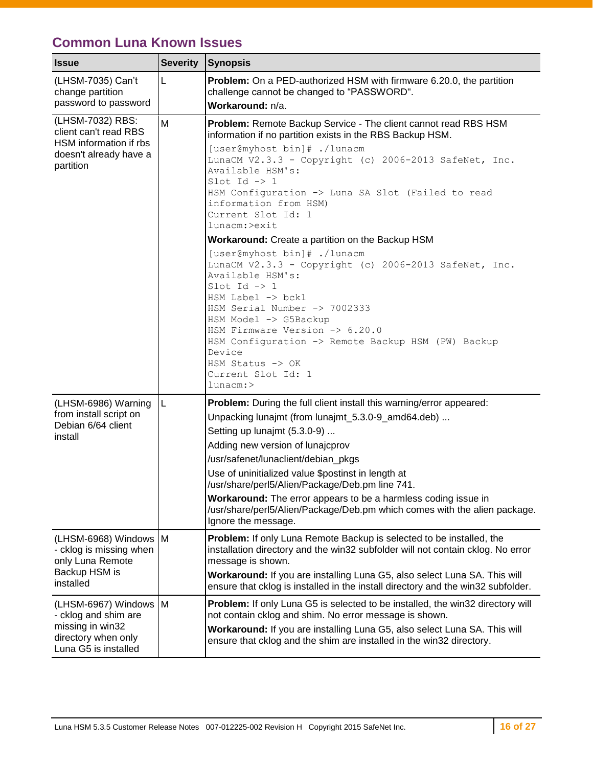## <span id="page-15-0"></span>**Common Luna Known Issues**

| <b>Issue</b>                                                                                                     | <b>Severity</b> | Synopsis                                                                                                                                                                                                                                                                                                                                                                                                                                                                                                                                                                                                                                                                                                                                                                                                                              |
|------------------------------------------------------------------------------------------------------------------|-----------------|---------------------------------------------------------------------------------------------------------------------------------------------------------------------------------------------------------------------------------------------------------------------------------------------------------------------------------------------------------------------------------------------------------------------------------------------------------------------------------------------------------------------------------------------------------------------------------------------------------------------------------------------------------------------------------------------------------------------------------------------------------------------------------------------------------------------------------------|
| (LHSM-7035) Can't<br>change partition<br>password to password                                                    | L               | <b>Problem:</b> On a PED-authorized HSM with firmware 6.20.0, the partition<br>challenge cannot be changed to "PASSWORD".<br>Workaround: n/a.                                                                                                                                                                                                                                                                                                                                                                                                                                                                                                                                                                                                                                                                                         |
| (LHSM-7032) RBS:<br>client can't read RBS<br>HSM information if rbs<br>doesn't already have a<br>partition       | M               | Problem: Remote Backup Service - The client cannot read RBS HSM<br>information if no partition exists in the RBS Backup HSM.<br>[user@myhost bin]# ./lunacm<br>LunaCM V2.3.3 - Copyright (c) 2006-2013 SafeNet, Inc.<br>Available HSM's:<br>Slot Id $\rightarrow$ 1<br>HSM Configuration -> Luna SA Slot (Failed to read<br>information from HSM)<br>Current Slot Id: 1<br>lunacm:>exit<br><b>Workaround:</b> Create a partition on the Backup HSM<br>[user@myhost bin]# ./lunacm<br>LunaCM V2.3.3 - Copyright (c) 2006-2013 SafeNet, Inc.<br>Available HSM's:<br>Slot Id $\rightarrow$ 1<br>HSM Label -> bck1<br>HSM Serial Number -> 7002333<br>HSM Model -> G5Backup<br>HSM Firmware Version -> 6.20.0<br>HSM Configuration -> Remote Backup HSM (PW) Backup<br>Device<br>HSM Status -> OK<br>Current Slot Id: 1<br>$l$ unacm: $>$ |
| (LHSM-6986) Warning<br>from install script on<br>Debian 6/64 client<br>install                                   | L               | Problem: During the full client install this warning/error appeared:<br>Unpacking lunajmt (from lunajmt_5.3.0-9_amd64.deb)<br>Setting up lunajmt (5.3.0-9)<br>Adding new version of lunajcprov<br>/usr/safenet/lunaclient/debian_pkgs<br>Use of uninitialized value \$postinst in length at<br>/usr/share/perl5/Alien/Package/Deb.pm line 741.<br>Workaround: The error appears to be a harmless coding issue in<br>/usr/share/perl5/Alien/Package/Deb.pm which comes with the alien package.<br>Ignore the message.                                                                                                                                                                                                                                                                                                                  |
| (LHSM-6968) Windows M<br>- cklog is missing when<br>only Luna Remote<br>Backup HSM is<br>installed               |                 | Problem: If only Luna Remote Backup is selected to be installed, the<br>installation directory and the win32 subfolder will not contain cklog. No error<br>message is shown.<br>Workaround: If you are installing Luna G5, also select Luna SA. This will<br>ensure that cklog is installed in the install directory and the win32 subfolder.                                                                                                                                                                                                                                                                                                                                                                                                                                                                                         |
| (LHSM-6967) Windows M<br>- cklog and shim are<br>missing in win32<br>directory when only<br>Luna G5 is installed |                 | Problem: If only Luna G5 is selected to be installed, the win32 directory will<br>not contain cklog and shim. No error message is shown.<br>Workaround: If you are installing Luna G5, also select Luna SA. This will<br>ensure that cklog and the shim are installed in the win32 directory.                                                                                                                                                                                                                                                                                                                                                                                                                                                                                                                                         |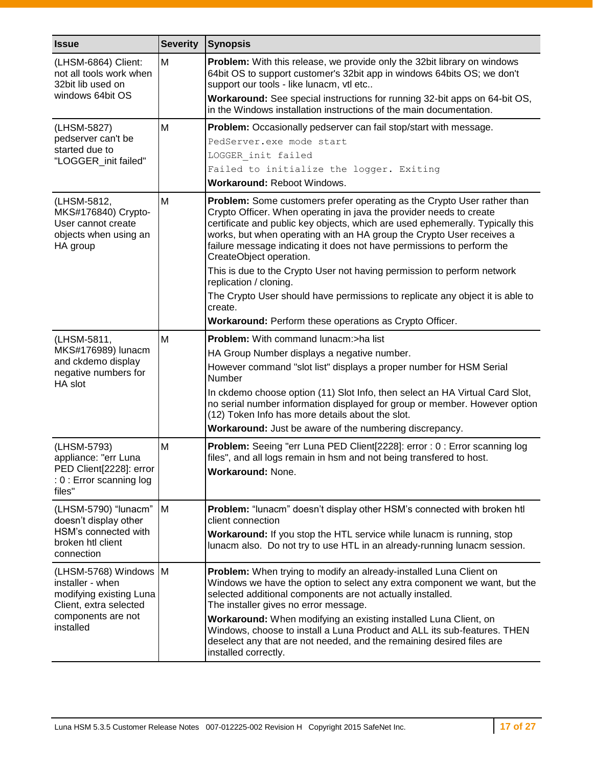| <b>Issue</b>                                                                                                                    | <b>Severity</b> | <b>Synopsis</b>                                                                                                                                                                                                                                                                                                                                                                                                                                                                                                                                                                                                 |
|---------------------------------------------------------------------------------------------------------------------------------|-----------------|-----------------------------------------------------------------------------------------------------------------------------------------------------------------------------------------------------------------------------------------------------------------------------------------------------------------------------------------------------------------------------------------------------------------------------------------------------------------------------------------------------------------------------------------------------------------------------------------------------------------|
| (LHSM-6864) Client:<br>not all tools work when<br>32bit lib used on<br>windows 64bit OS                                         | M               | <b>Problem:</b> With this release, we provide only the 32bit library on windows<br>64bit OS to support customer's 32bit app in windows 64bits OS; we don't<br>support our tools - like lunacm, vtl etc<br>Workaround: See special instructions for running 32-bit apps on 64-bit OS,                                                                                                                                                                                                                                                                                                                            |
|                                                                                                                                 |                 | in the Windows installation instructions of the main documentation.                                                                                                                                                                                                                                                                                                                                                                                                                                                                                                                                             |
| (LHSM-5827)<br>pedserver can't be<br>started due to<br>"LOGGER_init failed"                                                     | M               | Problem: Occasionally pedserver can fail stop/start with message.<br>PedServer.exe mode start<br>LOGGER init failed<br>Failed to initialize the logger. Exiting<br>Workaround: Reboot Windows.                                                                                                                                                                                                                                                                                                                                                                                                                  |
| (LHSM-5812,<br>MKS#176840) Crypto-<br>User cannot create<br>objects when using an<br>HA group                                   | M               | Problem: Some customers prefer operating as the Crypto User rather than<br>Crypto Officer. When operating in java the provider needs to create<br>certificate and public key objects, which are used ephemerally. Typically this<br>works, but when operating with an HA group the Crypto User receives a<br>failure message indicating it does not have permissions to perform the<br>CreateObject operation.<br>This is due to the Crypto User not having permission to perform network<br>replication / cloning.<br>The Crypto User should have permissions to replicate any object it is able to<br>create. |
|                                                                                                                                 |                 | Workaround: Perform these operations as Crypto Officer.                                                                                                                                                                                                                                                                                                                                                                                                                                                                                                                                                         |
| (LHSM-5811,<br>MKS#176989) lunacm<br>and ckdemo display<br>negative numbers for<br>HA slot                                      | M               | Problem: With command lunacm:>ha list<br>HA Group Number displays a negative number.<br>However command "slot list" displays a proper number for HSM Serial<br>Number<br>In ckdemo choose option (11) Slot Info, then select an HA Virtual Card Slot,<br>no serial number information displayed for group or member. However option<br>(12) Token Info has more details about the slot.<br>Workaround: Just be aware of the numbering discrepancy.                                                                                                                                                              |
| (LHSM-5793)<br>appliance: "err Luna<br>PED Client[2228]: error<br>: 0 : Error scanning log<br>files"                            | M               | Problem: Seeing "err Luna PED Client[2228]: error : 0 : Error scanning log<br>files", and all logs remain in hsm and not being transfered to host.<br>Workaround: None.                                                                                                                                                                                                                                                                                                                                                                                                                                         |
| (LHSM-5790) "lunacm"<br>doesn't display other<br>HSM's connected with<br>broken htl client<br>connection                        | IМ              | Problem: "lunacm" doesn't display other HSM's connected with broken htl<br>client connection<br>Workaround: If you stop the HTL service while lunacm is running, stop<br>lunacm also. Do not try to use HTL in an already-running lunacm session.                                                                                                                                                                                                                                                                                                                                                               |
| (LHSM-5768) Windows<br>installer - when<br>modifying existing Luna<br>Client, extra selected<br>components are not<br>installed | M               | Problem: When trying to modify an already-installed Luna Client on<br>Windows we have the option to select any extra component we want, but the<br>selected additional components are not actually installed.<br>The installer gives no error message.<br>Workaround: When modifying an existing installed Luna Client, on<br>Windows, choose to install a Luna Product and ALL its sub-features. THEN<br>deselect any that are not needed, and the remaining desired files are<br>installed correctly.                                                                                                         |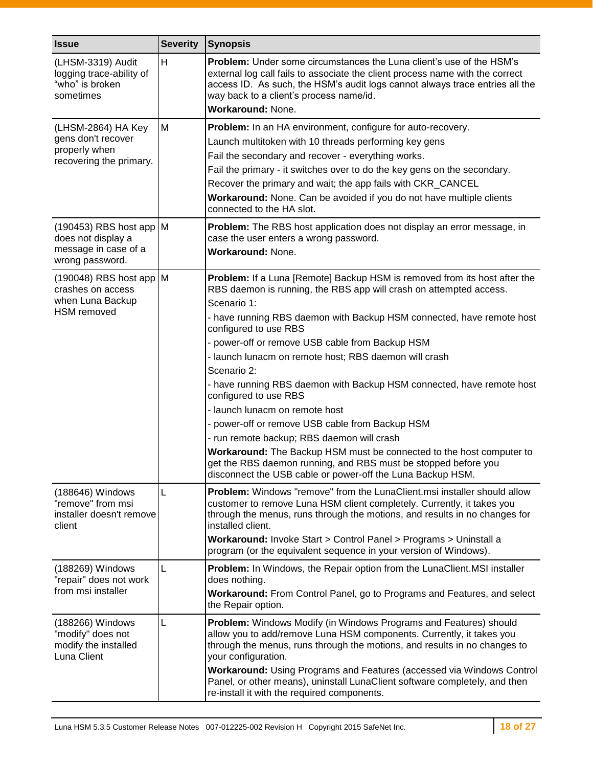| <b>Issue</b>                                                                               | <b>Severity</b> | <b>Synopsis</b>                                                                                                                                                                                                                                                                                                                                                                                                                                                                                                                                                                                                                                                                                                                                                                                                                          |
|--------------------------------------------------------------------------------------------|-----------------|------------------------------------------------------------------------------------------------------------------------------------------------------------------------------------------------------------------------------------------------------------------------------------------------------------------------------------------------------------------------------------------------------------------------------------------------------------------------------------------------------------------------------------------------------------------------------------------------------------------------------------------------------------------------------------------------------------------------------------------------------------------------------------------------------------------------------------------|
| (LHSM-3319) Audit<br>logging trace-ability of<br>"who" is broken<br>sometimes              | H               | <b>Problem:</b> Under some circumstances the Luna client's use of the HSM's<br>external log call fails to associate the client process name with the correct<br>access ID. As such, the HSM's audit logs cannot always trace entries all the<br>way back to a client's process name/id.<br>Workaround: None.                                                                                                                                                                                                                                                                                                                                                                                                                                                                                                                             |
| (LHSM-2864) HA Key<br>gens don't recover<br>properly when<br>recovering the primary.       | M               | Problem: In an HA environment, configure for auto-recovery.<br>Launch multitoken with 10 threads performing key gens<br>Fail the secondary and recover - everything works.<br>Fail the primary - it switches over to do the key gens on the secondary.<br>Recover the primary and wait; the app fails with CKR_CANCEL<br>Workaround: None. Can be avoided if you do not have multiple clients<br>connected to the HA slot.                                                                                                                                                                                                                                                                                                                                                                                                               |
| $(190453)$ RBS host app M<br>does not display a<br>message in case of a<br>wrong password. |                 | Problem: The RBS host application does not display an error message, in<br>case the user enters a wrong password.<br>Workaround: None.                                                                                                                                                                                                                                                                                                                                                                                                                                                                                                                                                                                                                                                                                                   |
| $(190048)$ RBS host app M<br>crashes on access<br>when Luna Backup<br>HSM removed          |                 | Problem: If a Luna [Remote] Backup HSM is removed from its host after the<br>RBS daemon is running, the RBS app will crash on attempted access.<br>Scenario 1:<br>- have running RBS daemon with Backup HSM connected, have remote host<br>configured to use RBS<br>- power-off or remove USB cable from Backup HSM<br>- launch lunacm on remote host; RBS daemon will crash<br>Scenario 2:<br>- have running RBS daemon with Backup HSM connected, have remote host<br>configured to use RBS<br>- launch lunacm on remote host<br>- power-off or remove USB cable from Backup HSM<br>- run remote backup; RBS daemon will crash<br>Workaround: The Backup HSM must be connected to the host computer to<br>get the RBS daemon running, and RBS must be stopped before you<br>disconnect the USB cable or power-off the Luna Backup HSM. |
| (188646) Windows<br>"remove" from msi<br>installer doesn't remove<br>client                | L               | <b>Problem:</b> Windows "remove" from the LunaClient.msi installer should allow<br>customer to remove Luna HSM client completely. Currently, it takes you<br>through the menus, runs through the motions, and results in no changes for<br>installed client.<br>Workaround: Invoke Start > Control Panel > Programs > Uninstall a<br>program (or the equivalent sequence in your version of Windows).                                                                                                                                                                                                                                                                                                                                                                                                                                    |
| (188269) Windows<br>"repair" does not work<br>from msi installer                           | L               | Problem: In Windows, the Repair option from the LunaClient. MSI installer<br>does nothing.<br>Workaround: From Control Panel, go to Programs and Features, and select<br>the Repair option.                                                                                                                                                                                                                                                                                                                                                                                                                                                                                                                                                                                                                                              |
| (188266) Windows<br>"modify" does not<br>modify the installed<br>Luna Client               | L               | Problem: Windows Modify (in Windows Programs and Features) should<br>allow you to add/remove Luna HSM components. Currently, it takes you<br>through the menus, runs through the motions, and results in no changes to<br>your configuration.<br>Workaround: Using Programs and Features (accessed via Windows Control<br>Panel, or other means), uninstall LunaClient software completely, and then<br>re-install it with the required components.                                                                                                                                                                                                                                                                                                                                                                                      |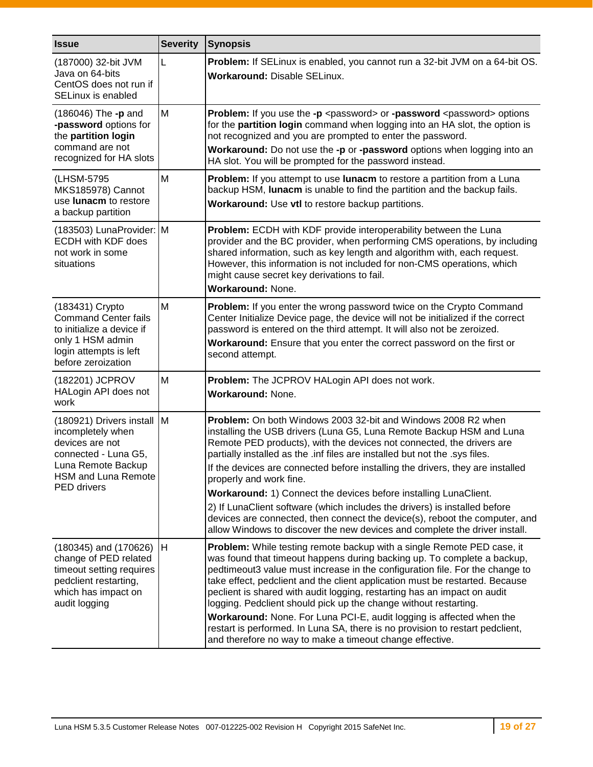| <b>Issue</b>                                                                                                                                                  | <b>Severity</b> | <b>Synopsis</b>                                                                                                                                                                                                                                                                                                                                                                                                                                                                                                                                                                                                                                                                                                           |
|---------------------------------------------------------------------------------------------------------------------------------------------------------------|-----------------|---------------------------------------------------------------------------------------------------------------------------------------------------------------------------------------------------------------------------------------------------------------------------------------------------------------------------------------------------------------------------------------------------------------------------------------------------------------------------------------------------------------------------------------------------------------------------------------------------------------------------------------------------------------------------------------------------------------------------|
| (187000) 32-bit JVM<br>Java on 64-bits<br>CentOS does not run if<br>SELinux is enabled                                                                        |                 | Problem: If SELinux is enabled, you cannot run a 32-bit JVM on a 64-bit OS.<br><b>Workaround: Disable SELinux.</b>                                                                                                                                                                                                                                                                                                                                                                                                                                                                                                                                                                                                        |
| (186046) The -p and<br>-password options for<br>the partition login<br>command are not<br>recognized for HA slots                                             | M               | Problem: If you use the -p <password> or -password <password> options<br/>for the partition login command when logging into an HA slot, the option is<br/>not recognized and you are prompted to enter the password.<br/>Workaround: Do not use the -p or -password options when logging into an<br/>HA slot. You will be prompted for the password instead.</password></password>                                                                                                                                                                                                                                                                                                                                        |
| (LHSM-5795<br>MKS185978) Cannot<br>use <b>lunacm</b> to restore<br>a backup partition                                                                         | M               | Problem: If you attempt to use lunacm to restore a partition from a Luna<br>backup HSM, lunacm is unable to find the partition and the backup fails.<br>Workaround: Use vtl to restore backup partitions.                                                                                                                                                                                                                                                                                                                                                                                                                                                                                                                 |
| (183503) LunaProvider: M<br><b>ECDH with KDF does</b><br>not work in some<br>situations                                                                       |                 | Problem: ECDH with KDF provide interoperability between the Luna<br>provider and the BC provider, when performing CMS operations, by including<br>shared information, such as key length and algorithm with, each request.<br>However, this information is not included for non-CMS operations, which<br>might cause secret key derivations to fail.<br>Workaround: None.                                                                                                                                                                                                                                                                                                                                                 |
| (183431) Crypto<br><b>Command Center fails</b><br>to initialize a device if<br>only 1 HSM admin<br>login attempts is left<br>before zeroization               | M               | Problem: If you enter the wrong password twice on the Crypto Command<br>Center Initialize Device page, the device will not be initialized if the correct<br>password is entered on the third attempt. It will also not be zeroized.<br>Workaround: Ensure that you enter the correct password on the first or<br>second attempt.                                                                                                                                                                                                                                                                                                                                                                                          |
| (182201) JCPROV<br>HALogin API does not<br>work                                                                                                               | M               | Problem: The JCPROV HALogin API does not work.<br>Workaround: None.                                                                                                                                                                                                                                                                                                                                                                                                                                                                                                                                                                                                                                                       |
| (180921) Drivers install M<br>incompletely when<br>devices are not<br>connected - Luna G5,<br>Luna Remote Backup<br>HSM and Luna Remote<br><b>PED drivers</b> |                 | Problem: On both Windows 2003 32-bit and Windows 2008 R2 when<br>installing the USB drivers (Luna G5, Luna Remote Backup HSM and Luna<br>Remote PED products), with the devices not connected, the drivers are<br>partially installed as the .inf files are installed but not the .sys files.<br>If the devices are connected before installing the drivers, they are installed<br>properly and work fine.<br>Workaround: 1) Connect the devices before installing LunaClient.<br>2) If LunaClient software (which includes the drivers) is installed before<br>devices are connected, then connect the device(s), reboot the computer, and<br>allow Windows to discover the new devices and complete the driver install. |
| $(180345)$ and $(170626)$<br>change of PED related<br>timeout setting requires<br>pedclient restarting,<br>which has impact on<br>audit logging               | lH.             | <b>Problem:</b> While testing remote backup with a single Remote PED case, it<br>was found that timeout happens during backing up. To complete a backup,<br>pedtimeout3 value must increase in the configuration file. For the change to<br>take effect, pedclient and the client application must be restarted. Because<br>peclient is shared with audit logging, restarting has an impact on audit<br>logging. Pedclient should pick up the change without restarting.<br>Workaround: None. For Luna PCI-E, audit logging is affected when the<br>restart is performed. In Luna SA, there is no provision to restart pedclient,<br>and therefore no way to make a timeout change effective.                             |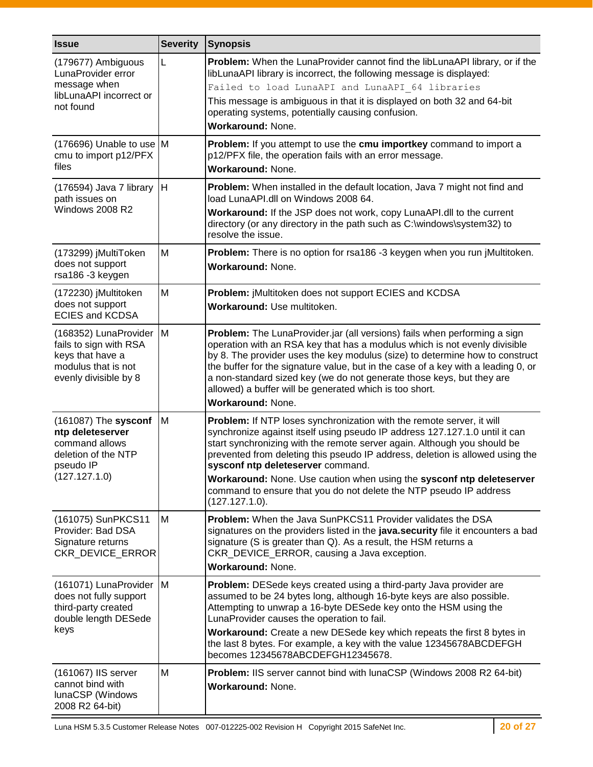| <b>Issue</b>                                                                                                        | <b>Severity</b> | Synopsis                                                                                                                                                                                                                                                                                                                                                                                                                                                                                                                |
|---------------------------------------------------------------------------------------------------------------------|-----------------|-------------------------------------------------------------------------------------------------------------------------------------------------------------------------------------------------------------------------------------------------------------------------------------------------------------------------------------------------------------------------------------------------------------------------------------------------------------------------------------------------------------------------|
| (179677) Ambiguous<br>LunaProvider error<br>message when<br>libLunaAPI incorrect or<br>not found                    |                 | <b>Problem:</b> When the LunaProvider cannot find the libLunaAPI library, or if the<br>libLunaAPI library is incorrect, the following message is displayed:<br>Failed to load LunaAPI and LunaAPI 64 libraries<br>This message is ambiguous in that it is displayed on both 32 and 64-bit<br>operating systems, potentially causing confusion.<br>Workaround: None.                                                                                                                                                     |
| $(176696)$ Unable to use M<br>cmu to import p12/PFX<br>files                                                        |                 | Problem: If you attempt to use the cmu importkey command to import a<br>p12/PFX file, the operation fails with an error message.<br>Workaround: None.                                                                                                                                                                                                                                                                                                                                                                   |
| (176594) Java 7 library $ H $<br>path issues on<br>Windows 2008 R2                                                  |                 | <b>Problem:</b> When installed in the default location, Java 7 might not find and<br>load LunaAPI.dll on Windows 2008 64.<br>Workaround: If the JSP does not work, copy LunaAPI.dll to the current<br>directory (or any directory in the path such as C:\windows\system32) to<br>resolve the issue.                                                                                                                                                                                                                     |
| (173299) jMultiToken<br>does not support<br>rsa186 -3 keygen                                                        | M               | Problem: There is no option for rsa186 -3 keygen when you run jMultitoken.<br>Workaround: None.                                                                                                                                                                                                                                                                                                                                                                                                                         |
| (172230) jMultitoken<br>does not support<br><b>ECIES and KCDSA</b>                                                  | M               | Problem: jMultitoken does not support ECIES and KCDSA<br>Workaround: Use multitoken.                                                                                                                                                                                                                                                                                                                                                                                                                                    |
| (168352) LunaProvider<br>fails to sign with RSA<br>keys that have a<br>modulus that is not<br>evenly divisible by 8 | M               | Problem: The LunaProvider.jar (all versions) fails when performing a sign<br>operation with an RSA key that has a modulus which is not evenly divisible<br>by 8. The provider uses the key modulus (size) to determine how to construct<br>the buffer for the signature value, but in the case of a key with a leading 0, or<br>a non-standard sized key (we do not generate those keys, but they are<br>allowed) a buffer will be generated which is too short.<br>Workaround: None.                                   |
| (161087) The sysconf<br>ntp deleteserver<br>command allows<br>deletion of the NTP<br>pseudo IP<br>(127.127.1.0)     | M               | Problem: If NTP loses synchronization with the remote server, it will<br>synchronize against itself using pseudo IP address 127.127.1.0 until it can<br>start synchronizing with the remote server again. Although you should be<br>prevented from deleting this pseudo IP address, deletion is allowed using the<br>sysconf ntp deleteserver command.<br>Workaround: None. Use caution when using the sysconf ntp deleteserver<br>command to ensure that you do not delete the NTP pseudo IP address<br>(127.127.1.0). |
| (161075) SunPKCS11<br>Provider: Bad DSA<br>Signature returns<br>CKR_DEVICE_ERROR                                    | M               | <b>Problem:</b> When the Java SunPKCS11 Provider validates the DSA<br>signatures on the providers listed in the java.security file it encounters a bad<br>signature (S is greater than Q). As a result, the HSM returns a<br>CKR_DEVICE_ERROR, causing a Java exception.<br><b>Workaround: None.</b>                                                                                                                                                                                                                    |
| (161071) LunaProvider<br>does not fully support<br>third-party created<br>double length DESede<br>keys              | M               | Problem: DESede keys created using a third-party Java provider are<br>assumed to be 24 bytes long, although 16-byte keys are also possible.<br>Attempting to unwrap a 16-byte DESede key onto the HSM using the<br>LunaProvider causes the operation to fail.<br>Workaround: Create a new DESede key which repeats the first 8 bytes in<br>the last 8 bytes. For example, a key with the value 12345678ABCDEFGH<br>becomes 12345678ABCDEFGH12345678.                                                                    |
| (161067) IIS server<br>cannot bind with<br>lunaCSP (Windows<br>2008 R2 64-bit)                                      | M               | <b>Problem:</b> IIS server cannot bind with lunaCSP (Windows 2008 R2 64-bit)<br>Workaround: None.                                                                                                                                                                                                                                                                                                                                                                                                                       |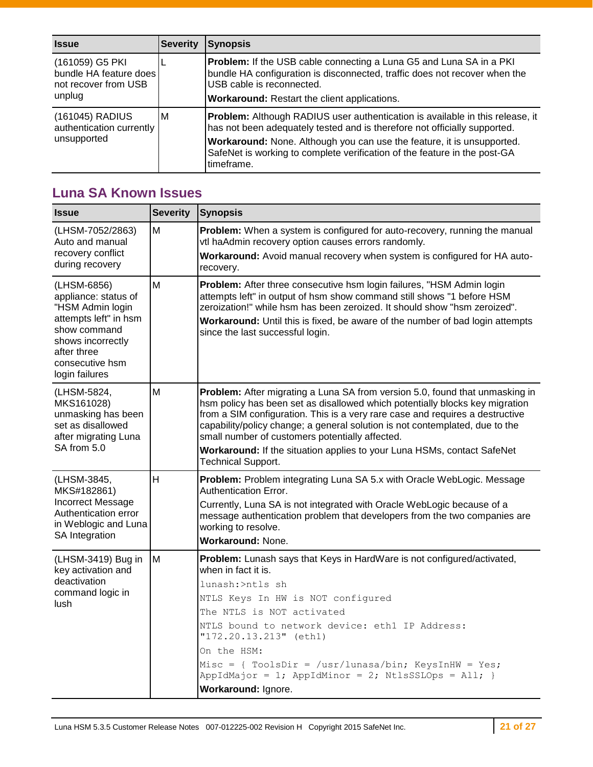| <b>Issue</b>                                                                | <b>Severity</b> | <b>Synopsis</b>                                                                                                                                                                                                                                                                                                                 |
|-----------------------------------------------------------------------------|-----------------|---------------------------------------------------------------------------------------------------------------------------------------------------------------------------------------------------------------------------------------------------------------------------------------------------------------------------------|
| (161059) G5 PKI<br>bundle HA feature does<br>not recover from USB<br>unplug |                 | <b>Problem:</b> If the USB cable connecting a Luna G5 and Luna SA in a PKI<br>bundle HA configuration is disconnected, traffic does not recover when the<br>USB cable is reconnected.<br>Workaround: Restart the client applications.                                                                                           |
| (161045) RADIUS<br>authentication currently<br>unsupported                  | M               | Problem: Although RADIUS user authentication is available in this release, it<br>has not been adequately tested and is therefore not officially supported.<br>Workaround: None. Although you can use the feature, it is unsupported.<br>SafeNet is working to complete verification of the feature in the post-GA<br>timeframe. |

## <span id="page-20-0"></span>**Luna SA Known Issues**

| <b>Issue</b>                                                                                                                                                              | <b>Severity</b> | <b>Synopsis</b>                                                                                                                                                                                                                                                                                                                                                                                                                                                                                 |
|---------------------------------------------------------------------------------------------------------------------------------------------------------------------------|-----------------|-------------------------------------------------------------------------------------------------------------------------------------------------------------------------------------------------------------------------------------------------------------------------------------------------------------------------------------------------------------------------------------------------------------------------------------------------------------------------------------------------|
| (LHSM-7052/2863)<br>Auto and manual                                                                                                                                       | M               | Problem: When a system is configured for auto-recovery, running the manual<br>vtl haAdmin recovery option causes errors randomly.                                                                                                                                                                                                                                                                                                                                                               |
| recovery conflict<br>during recovery                                                                                                                                      |                 | Workaround: Avoid manual recovery when system is configured for HA auto-<br>recovery.                                                                                                                                                                                                                                                                                                                                                                                                           |
| (LHSM-6856)<br>appliance: status of<br>"HSM Admin login<br>attempts left" in hsm<br>show command<br>shows incorrectly<br>after three<br>consecutive hsm<br>login failures | М               | Problem: After three consecutive hsm login failures, "HSM Admin login<br>attempts left" in output of hsm show command still shows "1 before HSM<br>zeroization!" while hsm has been zeroized. It should show "hsm zeroized".<br><b>Workaround:</b> Until this is fixed, be aware of the number of bad login attempts<br>since the last successful login.                                                                                                                                        |
| (LHSM-5824,<br>MKS161028)<br>unmasking has been<br>set as disallowed<br>after migrating Luna<br>SA from 5.0                                                               | M               | <b>Problem:</b> After migrating a Luna SA from version 5.0, found that unmasking in<br>hsm policy has been set as disallowed which potentially blocks key migration<br>from a SIM configuration. This is a very rare case and requires a destructive<br>capability/policy change; a general solution is not contemplated, due to the<br>small number of customers potentially affected.<br>Workaround: If the situation applies to your Luna HSMs, contact SafeNet<br><b>Technical Support.</b> |
| (LHSM-3845,<br>MKS#182861)<br><b>Incorrect Message</b><br>Authentication error<br>in Weblogic and Luna<br>SA Integration                                                  | H               | Problem: Problem integrating Luna SA 5.x with Oracle WebLogic. Message<br><b>Authentication Error.</b><br>Currently, Luna SA is not integrated with Oracle WebLogic because of a<br>message authentication problem that developers from the two companies are<br>working to resolve.<br>Workaround: None.                                                                                                                                                                                       |
| (LHSM-3419) Bug in<br>key activation and<br>deactivation<br>command logic in<br>lush                                                                                      | M               | Problem: Lunash says that Keys in HardWare is not configured/activated,<br>when in fact it is.<br>lunash: >ntls sh<br>NTLS Keys In HW is NOT configured<br>The NTLS is NOT activated<br>NTLS bound to network device: eth1 IP Address:<br>"172.20.13.213" (eth1)<br>On the HSM:<br>Misc = { ToolsDir = /usr/lunasa/bin; KeysInHW = Yes;<br>AppIdMajor = 1; AppIdMinor = 2; NtlsSSLOps = All; }<br>Workaround: Ignore.                                                                           |
|                                                                                                                                                                           |                 |                                                                                                                                                                                                                                                                                                                                                                                                                                                                                                 |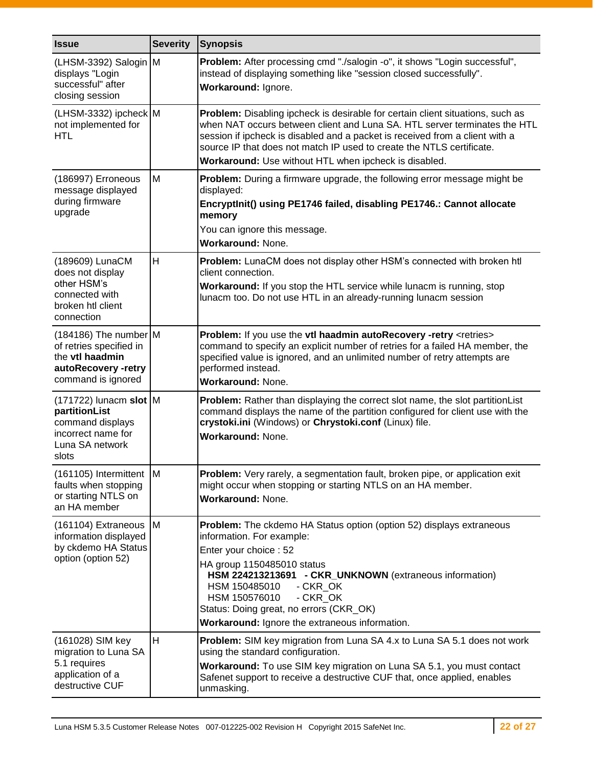| <b>Issue</b>                                                                                                              | <b>Severity</b> | <b>Synopsis</b>                                                                                                                                                                                                                                                                                                                                                               |
|---------------------------------------------------------------------------------------------------------------------------|-----------------|-------------------------------------------------------------------------------------------------------------------------------------------------------------------------------------------------------------------------------------------------------------------------------------------------------------------------------------------------------------------------------|
| (LHSM-3392) Salogin M<br>displays "Login<br>successful" after<br>closing session                                          |                 | Problem: After processing cmd "./salogin -o", it shows "Login successful",<br>instead of displaying something like "session closed successfully".<br>Workaround: Ignore.                                                                                                                                                                                                      |
| (LHSM-3332) ipcheck M<br>not implemented for<br><b>HTL</b>                                                                |                 | Problem: Disabling ipcheck is desirable for certain client situations, such as<br>when NAT occurs between client and Luna SA. HTL server terminates the HTL<br>session if ipcheck is disabled and a packet is received from a client with a<br>source IP that does not match IP used to create the NTLS certificate.<br>Workaround: Use without HTL when ipcheck is disabled. |
| (186997) Erroneous<br>message displayed<br>during firmware<br>upgrade                                                     | M               | Problem: During a firmware upgrade, the following error message might be<br>displayed:<br>EncryptInit() using PE1746 failed, disabling PE1746.: Cannot allocate<br>memory<br>You can ignore this message.<br>Workaround: None.                                                                                                                                                |
| (189609) LunaCM<br>does not display<br>other HSM's<br>connected with<br>broken htl client<br>connection                   | H               | Problem: LunaCM does not display other HSM's connected with broken htl<br>client connection.<br>Workaround: If you stop the HTL service while lunacm is running, stop<br>lunacm too. Do not use HTL in an already-running lunacm session                                                                                                                                      |
| $(184186)$ The number M<br>of retries specified in<br>the <b>vtl haadmin</b><br>autoRecovery -retry<br>command is ignored |                 | Problem: If you use the vtl haadmin autoRecovery -retry <retries><br/>command to specify an explicit number of retries for a failed HA member, the<br/>specified value is ignored, and an unlimited number of retry attempts are<br/>performed instead.<br/>Workaround: None.</retries>                                                                                       |
| (171722) lunacm slot M<br>partitionList<br>command displays<br>incorrect name for<br>Luna SA network<br>slots             |                 | Problem: Rather than displaying the correct slot name, the slot partitionList<br>command displays the name of the partition configured for client use with the<br>crystoki.ini (Windows) or Chrystoki.conf (Linux) file.<br>Workaround: None.                                                                                                                                 |
| (161105) Intermittent M<br>faults when stopping<br>or starting NTLS on<br>an HA member                                    |                 | Problem: Very rarely, a segmentation fault, broken pipe, or application exit<br>might occur when stopping or starting NTLS on an HA member.<br>Workaround: None.                                                                                                                                                                                                              |
| (161104) Extraneous<br>information displayed<br>by ckdemo HA Status<br>option (option 52)                                 | M               | Problem: The ckdemo HA Status option (option 52) displays extraneous<br>information. For example:<br>Enter your choice : 52<br>HA group 1150485010 status<br>HSM 224213213691 - CKR_UNKNOWN (extraneous information)<br>HSM 150485010<br>- CKR_OK<br>HSM 150576010<br>- CKR_OK<br>Status: Doing great, no errors (CKR_OK)<br>Workaround: Ignore the extraneous information.   |
| (161028) SIM key<br>migration to Luna SA<br>5.1 requires<br>application of a<br>destructive CUF                           | н               | <b>Problem:</b> SIM key migration from Luna SA 4.x to Luna SA 5.1 does not work<br>using the standard configuration.<br>Workaround: To use SIM key migration on Luna SA 5.1, you must contact<br>Safenet support to receive a destructive CUF that, once applied, enables<br>unmasking.                                                                                       |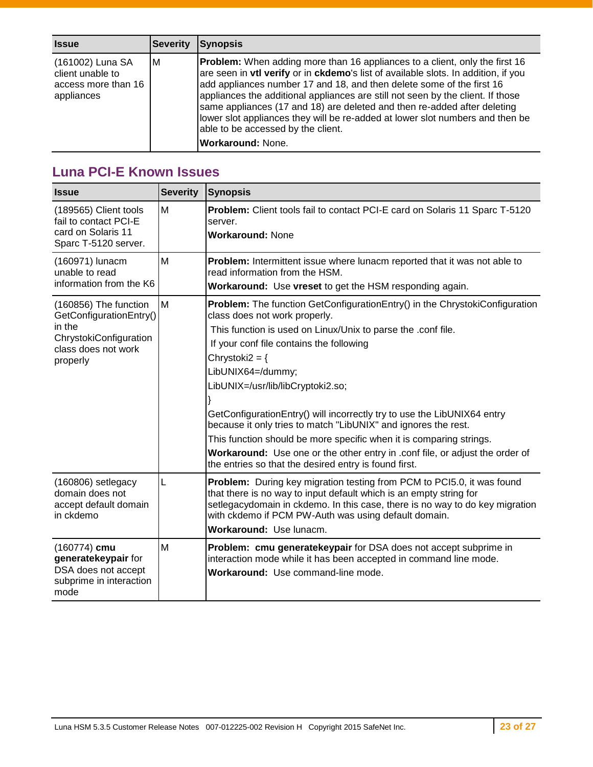| <b>Issue</b>                                                              | <b>Severity</b> | <b>Synopsis</b>                                                                                                                                                                                                                                                                                                                                                                                                                                                                                                                                                     |
|---------------------------------------------------------------------------|-----------------|---------------------------------------------------------------------------------------------------------------------------------------------------------------------------------------------------------------------------------------------------------------------------------------------------------------------------------------------------------------------------------------------------------------------------------------------------------------------------------------------------------------------------------------------------------------------|
| (161002) Luna SA<br>client unable to<br>access more than 16<br>appliances | ΙM              | <b>Problem:</b> When adding more than 16 appliances to a client, only the first 16<br>are seen in vtl verify or in ckdemo's list of available slots. In addition, if you<br>add appliances number 17 and 18, and then delete some of the first 16<br>appliances the additional appliances are still not seen by the client. If those<br>same appliances (17 and 18) are deleted and then re-added after deleting<br>lower slot appliances they will be re-added at lower slot numbers and then be<br>able to be accessed by the client.<br><b>Workaround: None.</b> |

## <span id="page-22-0"></span>**Luna PCI-E Known Issues**

| <b>Issue</b>                                                                                                            | <b>Severity</b> | <b>Synopsis</b>                                                                                                                                                                                                                                                                                                                                                                                                                                                                                                                                                                                                                                                       |
|-------------------------------------------------------------------------------------------------------------------------|-----------------|-----------------------------------------------------------------------------------------------------------------------------------------------------------------------------------------------------------------------------------------------------------------------------------------------------------------------------------------------------------------------------------------------------------------------------------------------------------------------------------------------------------------------------------------------------------------------------------------------------------------------------------------------------------------------|
| (189565) Client tools<br>fail to contact PCI-E<br>card on Solaris 11<br>Sparc T-5120 server.                            | M               | Problem: Client tools fail to contact PCI-E card on Solaris 11 Sparc T-5120<br>server.<br><b>Workaround: None</b>                                                                                                                                                                                                                                                                                                                                                                                                                                                                                                                                                     |
| (160971) lunacm<br>unable to read<br>information from the K6                                                            | M               | Problem: Intermittent issue where lunacm reported that it was not able to<br>read information from the HSM.<br>Workaround: Use vreset to get the HSM responding again.                                                                                                                                                                                                                                                                                                                                                                                                                                                                                                |
| (160856) The function<br>GetConfigurationEntry()<br>in the<br>ChrystokiConfiguration<br>class does not work<br>properly | ΙM              | Problem: The function GetConfigurationEntry() in the ChrystokiConfiguration<br>class does not work properly.<br>This function is used on Linux/Unix to parse the .conf file.<br>If your conf file contains the following<br>Chrystoki $2 = \{$<br>LibUNIX64=/dummy;<br>LibUNIX=/usr/lib/libCryptoki2.so;<br>GetConfigurationEntry() will incorrectly try to use the LibUNIX64 entry<br>because it only tries to match "LibUNIX" and ignores the rest.<br>This function should be more specific when it is comparing strings.<br>Workaround: Use one or the other entry in .conf file, or adjust the order of<br>the entries so that the desired entry is found first. |
| (160806) setlegacy<br>domain does not<br>accept default domain<br>in ckdemo                                             | L               | <b>Problem:</b> During key migration testing from PCM to PCI5.0, it was found<br>that there is no way to input default which is an empty string for<br>setlegacydomain in ckdemo. In this case, there is no way to do key migration<br>with ckdemo if PCM PW-Auth was using default domain.<br>Workaround: Use lunacm.                                                                                                                                                                                                                                                                                                                                                |
| (160774) cmu<br>generatekeypair for<br>DSA does not accept<br>subprime in interaction<br>mode                           | M               | Problem: cmu generatekeypair for DSA does not accept subprime in<br>interaction mode while it has been accepted in command line mode.<br>Workaround: Use command-line mode.                                                                                                                                                                                                                                                                                                                                                                                                                                                                                           |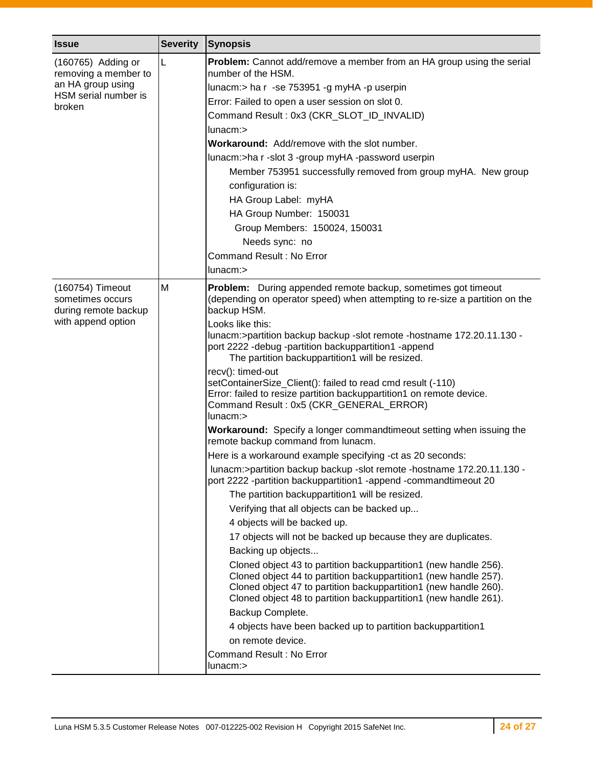| <b>Issue</b>                                                 | <b>Severity</b> | <b>Synopsis</b>                                                                                                                                                                                                                                                              |
|--------------------------------------------------------------|-----------------|------------------------------------------------------------------------------------------------------------------------------------------------------------------------------------------------------------------------------------------------------------------------------|
| (160765) Adding or<br>removing a member to                   | L               | Problem: Cannot add/remove a member from an HA group using the serial<br>number of the HSM.                                                                                                                                                                                  |
| an HA group using                                            |                 | lunacm:> ha r -se 753951 -g myHA -p userpin                                                                                                                                                                                                                                  |
| HSM serial number is<br>broken                               |                 | Error: Failed to open a user session on slot 0.                                                                                                                                                                                                                              |
|                                                              |                 | Command Result: 0x3 (CKR_SLOT_ID_INVALID)                                                                                                                                                                                                                                    |
|                                                              |                 | lunacm:>                                                                                                                                                                                                                                                                     |
|                                                              |                 | Workaround: Add/remove with the slot number.                                                                                                                                                                                                                                 |
|                                                              |                 | lunacm:>ha r -slot 3 -group myHA -password userpin                                                                                                                                                                                                                           |
|                                                              |                 | Member 753951 successfully removed from group myHA. New group                                                                                                                                                                                                                |
|                                                              |                 | configuration is:                                                                                                                                                                                                                                                            |
|                                                              |                 | HA Group Label: myHA                                                                                                                                                                                                                                                         |
|                                                              |                 | HA Group Number: 150031                                                                                                                                                                                                                                                      |
|                                                              |                 | Group Members: 150024, 150031                                                                                                                                                                                                                                                |
|                                                              |                 | Needs sync: no                                                                                                                                                                                                                                                               |
|                                                              |                 | <b>Command Result: No Error</b>                                                                                                                                                                                                                                              |
|                                                              |                 | lunacm:>                                                                                                                                                                                                                                                                     |
| (160754) Timeout<br>sometimes occurs<br>during remote backup | M               | Problem: During appended remote backup, sometimes got timeout<br>(depending on operator speed) when attempting to re-size a partition on the<br>backup HSM.                                                                                                                  |
| with append option                                           |                 | Looks like this:                                                                                                                                                                                                                                                             |
|                                                              |                 | lunacm:>partition backup backup -slot remote -hostname 172.20.11.130 -<br>port 2222 - debug - partition backuppartition1 - append<br>The partition backuppartition1 will be resized.                                                                                         |
|                                                              |                 | recv(): timed-out<br>setContainerSize_Client(): failed to read cmd result (-110)<br>Error: failed to resize partition backuppartition1 on remote device.<br>Command Result: 0x5 (CKR_GENERAL_ERROR)<br>$l$ unacm: $>$                                                        |
|                                                              |                 | Workaround: Specify a longer commandtimeout setting when issuing the<br>remote backup command from lunacm.                                                                                                                                                                   |
|                                                              |                 | Here is a workaround example specifying -ct as 20 seconds:                                                                                                                                                                                                                   |
|                                                              |                 | lunacm:>partition backup backup -slot remote -hostname 172.20.11.130 -<br>port 2222 -partition backuppartition1 -append -commandtimeout 20                                                                                                                                   |
|                                                              |                 | The partition backuppartition1 will be resized.                                                                                                                                                                                                                              |
|                                                              |                 | Verifying that all objects can be backed up                                                                                                                                                                                                                                  |
|                                                              |                 | 4 objects will be backed up.                                                                                                                                                                                                                                                 |
|                                                              |                 | 17 objects will not be backed up because they are duplicates.                                                                                                                                                                                                                |
|                                                              |                 | Backing up objects                                                                                                                                                                                                                                                           |
|                                                              |                 | Cloned object 43 to partition backuppartition1 (new handle 256).<br>Cloned object 44 to partition backuppartition1 (new handle 257).<br>Cloned object 47 to partition backuppartition1 (new handle 260).<br>Cloned object 48 to partition backuppartition1 (new handle 261). |
|                                                              |                 | Backup Complete.                                                                                                                                                                                                                                                             |
|                                                              |                 | 4 objects have been backed up to partition backuppartition1                                                                                                                                                                                                                  |
|                                                              |                 | on remote device.                                                                                                                                                                                                                                                            |
|                                                              |                 | Command Result: No Error<br>lunacm:>                                                                                                                                                                                                                                         |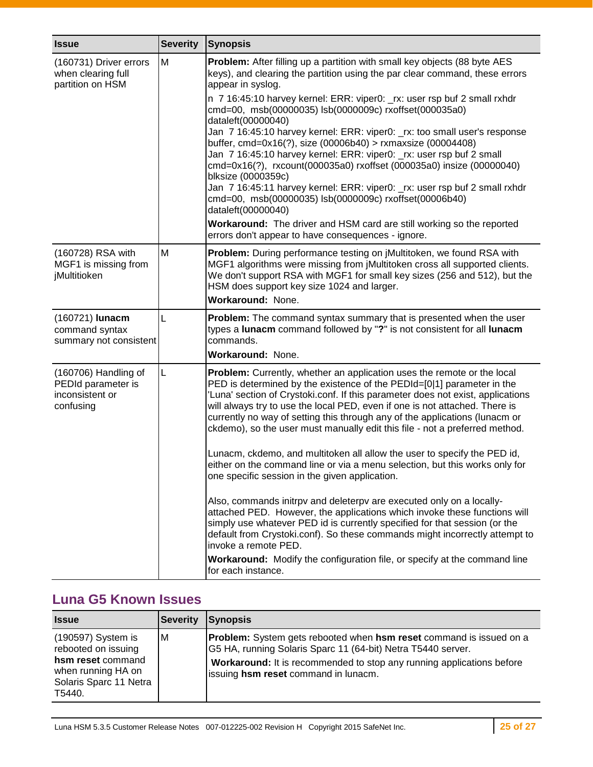| <b>Issue</b>                                                               | <b>Severity</b> | <b>Synopsis</b>                                                                                                                                                                                                                                                                                                                                                                                                                                                                                                                                                                                                                                                                                                                                                                                                                                                                                                                                                                                                                                                                                                                             |
|----------------------------------------------------------------------------|-----------------|---------------------------------------------------------------------------------------------------------------------------------------------------------------------------------------------------------------------------------------------------------------------------------------------------------------------------------------------------------------------------------------------------------------------------------------------------------------------------------------------------------------------------------------------------------------------------------------------------------------------------------------------------------------------------------------------------------------------------------------------------------------------------------------------------------------------------------------------------------------------------------------------------------------------------------------------------------------------------------------------------------------------------------------------------------------------------------------------------------------------------------------------|
| (160731) Driver errors<br>when clearing full<br>partition on HSM           | M               | <b>Problem:</b> After filling up a partition with small key objects (88 byte AES<br>keys), and clearing the partition using the par clear command, these errors<br>appear in syslog.<br>n 7 16:45:10 harvey kernel: ERR: viper0: _rx: user rsp buf 2 small rxhdr<br>cmd=00, msb(00000035) lsb(0000009c) rxoffset(000035a0)<br>dataleft(00000040)<br>Jan 7 16:45:10 harvey kernel: ERR: viper0: _rx: too small user's response<br>buffer, cmd=0x16(?), size (00006b40) > rxmaxsize (00004408)<br>Jan 7 16:45:10 harvey kernel: ERR: viper0: _rx: user rsp buf 2 small<br>cmd=0x16(?), rxcount(000035a0) rxoffset (000035a0) insize (00000040)<br>blksize (0000359c)<br>Jan 7 16:45:11 harvey kernel: ERR: viper0: _ rx: user rsp buf 2 small rxhdr<br>cmd=00, msb(00000035) lsb(0000009c) rxoffset(00006b40)<br>dataleft(00000040)                                                                                                                                                                                                                                                                                                           |
|                                                                            |                 | Workaround: The driver and HSM card are still working so the reported<br>errors don't appear to have consequences - ignore.                                                                                                                                                                                                                                                                                                                                                                                                                                                                                                                                                                                                                                                                                                                                                                                                                                                                                                                                                                                                                 |
| (160728) RSA with<br>MGF1 is missing from<br>jMultitioken                  | M               | <b>Problem:</b> During performance testing on <i>jMultitoken</i> , we found RSA with<br>MGF1 algorithms were missing from jMultitoken cross all supported clients.<br>We don't support RSA with MGF1 for small key sizes (256 and 512), but the<br>HSM does support key size 1024 and larger.<br>Workaround: None.                                                                                                                                                                                                                                                                                                                                                                                                                                                                                                                                                                                                                                                                                                                                                                                                                          |
| (160721) lunacm<br>command syntax<br>summary not consistent                | L               | Problem: The command syntax summary that is presented when the user<br>types a lunacm command followed by "?" is not consistent for all lunacm<br>commands.<br>Workaround: None.                                                                                                                                                                                                                                                                                                                                                                                                                                                                                                                                                                                                                                                                                                                                                                                                                                                                                                                                                            |
| (160706) Handling of<br>PEDId parameter is<br>inconsistent or<br>confusing | L               | Problem: Currently, whether an application uses the remote or the local<br>PED is determined by the existence of the PEDId=[0 1] parameter in the<br>'Luna' section of Crystoki.conf. If this parameter does not exist, applications<br>will always try to use the local PED, even if one is not attached. There is<br>currently no way of setting this through any of the applications (lunacm or<br>ckdemo), so the user must manually edit this file - not a preferred method.<br>Lunacm, ckdemo, and multitoken all allow the user to specify the PED id,<br>either on the command line or via a menu selection, but this works only for<br>one specific session in the given application.<br>Also, commands initrpv and deleterpv are executed only on a locally-<br>attached PED. However, the applications which invoke these functions will<br>simply use whatever PED id is currently specified for that session (or the<br>default from Crystoki.conf). So these commands might incorrectly attempt to<br>invoke a remote PED.<br>Workaround: Modify the configuration file, or specify at the command line<br>for each instance. |

## <span id="page-24-0"></span>**Luna G5 Known Issues**

| <b>Issue</b>                                                                                                             | <b>Severity</b> | <b>Synopsis</b>                                                                                                                                                                                                                                                    |
|--------------------------------------------------------------------------------------------------------------------------|-----------------|--------------------------------------------------------------------------------------------------------------------------------------------------------------------------------------------------------------------------------------------------------------------|
| (190597) System is<br>rebooted on issuing<br>hsm reset command<br>when running HA on<br>Solaris Sparc 11 Netra<br>T5440. | ΙM              | <b>Problem:</b> System gets rebooted when <b>hsm reset</b> command is issued on a<br>G5 HA, running Solaris Sparc 11 (64-bit) Netra T5440 server.<br>Workaround: It is recommended to stop any running applications before<br>issuing hsm reset command in lunacm. |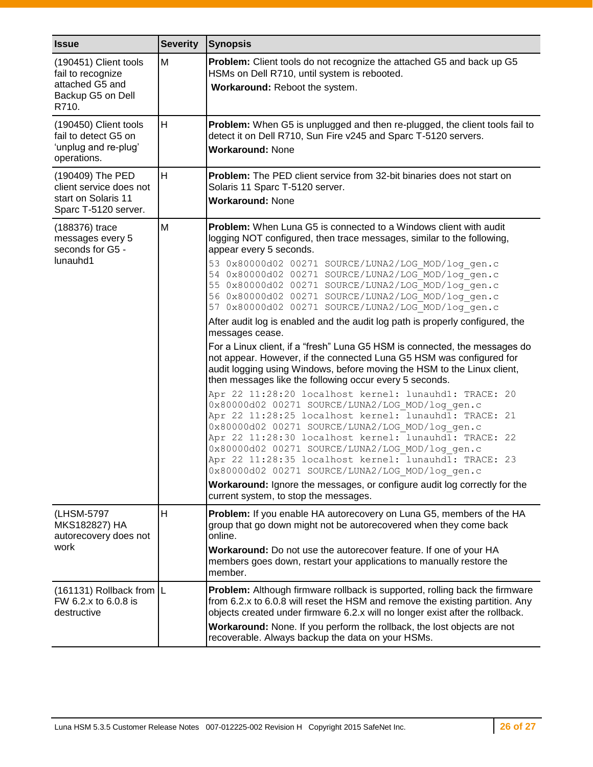| <b>Issue</b>                                                                                | <b>Severity</b> | <b>Synopsis</b>                                                                                                                                                                                                                                                                                                                                                                                                                                                                                                                                                                                                                                                                                                                                                                                                                                                                                                                                                                                                                                                                                                                                                                                                                                                                                                                                                                                                                   |  |
|---------------------------------------------------------------------------------------------|-----------------|-----------------------------------------------------------------------------------------------------------------------------------------------------------------------------------------------------------------------------------------------------------------------------------------------------------------------------------------------------------------------------------------------------------------------------------------------------------------------------------------------------------------------------------------------------------------------------------------------------------------------------------------------------------------------------------------------------------------------------------------------------------------------------------------------------------------------------------------------------------------------------------------------------------------------------------------------------------------------------------------------------------------------------------------------------------------------------------------------------------------------------------------------------------------------------------------------------------------------------------------------------------------------------------------------------------------------------------------------------------------------------------------------------------------------------------|--|
| (190451) Client tools<br>fail to recognize<br>attached G5 and<br>Backup G5 on Dell<br>R710. | M               | Problem: Client tools do not recognize the attached G5 and back up G5<br>HSMs on Dell R710, until system is rebooted.<br>Workaround: Reboot the system.                                                                                                                                                                                                                                                                                                                                                                                                                                                                                                                                                                                                                                                                                                                                                                                                                                                                                                                                                                                                                                                                                                                                                                                                                                                                           |  |
| (190450) Client tools<br>fail to detect G5 on<br>'unplug and re-plug'<br>operations.        | H               | Problem: When G5 is unplugged and then re-plugged, the client tools fail to<br>detect it on Dell R710, Sun Fire v245 and Sparc T-5120 servers.<br><b>Workaround: None</b>                                                                                                                                                                                                                                                                                                                                                                                                                                                                                                                                                                                                                                                                                                                                                                                                                                                                                                                                                                                                                                                                                                                                                                                                                                                         |  |
| (190409) The PED<br>client service does not<br>start on Solaris 11<br>Sparc T-5120 server.  | H               | <b>Problem:</b> The PED client service from 32-bit binaries does not start on<br>Solaris 11 Sparc T-5120 server.<br><b>Workaround: None</b>                                                                                                                                                                                                                                                                                                                                                                                                                                                                                                                                                                                                                                                                                                                                                                                                                                                                                                                                                                                                                                                                                                                                                                                                                                                                                       |  |
| (188376) trace<br>messages every 5<br>seconds for G5 -<br>lunauhd1                          | M               | <b>Problem:</b> When Luna G5 is connected to a Windows client with audit<br>logging NOT configured, then trace messages, similar to the following,<br>appear every 5 seconds.<br>53 0x80000d02 00271 SOURCE/LUNA2/LOG MOD/log gen.c<br>54 0x80000d02 00271 SOURCE/LUNA2/LOG MOD/log gen.c<br>55 0x80000d02 00271 SOURCE/LUNA2/LOG MOD/log gen.c<br>56 0x80000d02 00271 SOURCE/LUNA2/LOG MOD/log gen.c<br>57 0x80000d02 00271 SOURCE/LUNA2/LOG MOD/log gen.c<br>After audit log is enabled and the audit log path is properly configured, the<br>messages cease.<br>For a Linux client, if a "fresh" Luna G5 HSM is connected, the messages do<br>not appear. However, if the connected Luna G5 HSM was configured for<br>audit logging using Windows, before moving the HSM to the Linux client,<br>then messages like the following occur every 5 seconds.<br>Apr 22 11:28:20 localhost kernel: lunauhd1: TRACE: 20<br>0x80000d02 00271 SOURCE/LUNA2/LOG MOD/log gen.c<br>Apr 22 11:28:25 localhost kernel: lunauhd1: TRACE: 21<br>0x80000d02 00271 SOURCE/LUNA2/LOG MOD/log gen.c<br>Apr 22 11:28:30 localhost kernel: lunauhd1: TRACE: 22<br>0x80000d02 00271 SOURCE/LUNA2/LOG MOD/log gen.c<br>Apr 22 11:28:35 localhost kernel: lunauhd1: TRACE: 23<br>0x80000d02 00271 SOURCE/LUNA2/LOG MOD/log gen.c<br>Workaround: Ignore the messages, or configure audit log correctly for the<br>current system, to stop the messages. |  |
| (LHSM-5797<br>MKS182827) HA<br>autorecovery does not<br>work                                | H               | Problem: If you enable HA autorecovery on Luna G5, members of the HA<br>group that go down might not be autorecovered when they come back<br>online.<br><b>Workaround:</b> Do not use the autorecover feature. If one of your HA<br>members goes down, restart your applications to manually restore the<br>member.                                                                                                                                                                                                                                                                                                                                                                                                                                                                                                                                                                                                                                                                                                                                                                                                                                                                                                                                                                                                                                                                                                               |  |
| (161131) Rollback from L<br>FW 6.2.x to 6.0.8 is<br>destructive                             |                 | Problem: Although firmware rollback is supported, rolling back the firmware<br>from 6.2.x to 6.0.8 will reset the HSM and remove the existing partition. Any<br>objects created under firmware 6.2.x will no longer exist after the rollback.<br>Workaround: None. If you perform the rollback, the lost objects are not<br>recoverable. Always backup the data on your HSMs.                                                                                                                                                                                                                                                                                                                                                                                                                                                                                                                                                                                                                                                                                                                                                                                                                                                                                                                                                                                                                                                     |  |